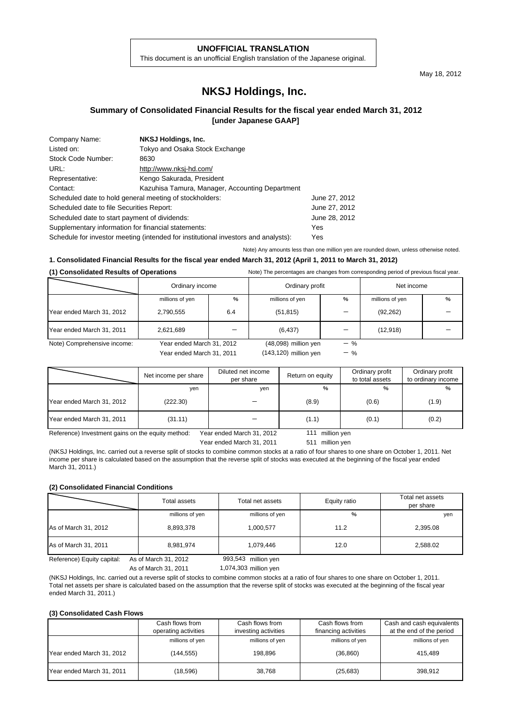#### **UNOFFICIAL TRANSLATION**

This document is an unofficial English translation of the Japanese original.

May 18, 2012

# **NKSJ Holdings, Inc.**

## **Summary of Consolidated Financial Results for the fiscal year ended March 31, 2012 [under Japanese GAAP]**

| Company Name:                                           | NKSJ Holdings, Inc.                                                                |               |
|---------------------------------------------------------|------------------------------------------------------------------------------------|---------------|
| Listed on:                                              | Tokyo and Osaka Stock Exchange                                                     |               |
| Stock Code Number:                                      | 8630                                                                               |               |
| URL:                                                    | http://www.nksj-hd.com/                                                            |               |
| Representative:                                         | Kengo Sakurada, President                                                          |               |
| Contact:                                                | Kazuhisa Tamura, Manager, Accounting Department                                    |               |
| Scheduled date to hold general meeting of stockholders: |                                                                                    | June 27, 2012 |
| Scheduled date to file Securities Report:               |                                                                                    | June 27, 2012 |
| Scheduled date to start payment of dividends:           |                                                                                    | June 28, 2012 |
| Supplementary information for financial statements:     |                                                                                    | Yes           |
|                                                         | Schedule for investor meeting (intended for institutional investors and analysts): | Yes           |

Note) Any amounts less than one million yen are rounded down, unless otherwise noted.

# **1. Consolidated Financial Results for the fiscal year ended March 31, 2012 (April 1, 2011 to March 31, 2012)**

#### **(1) Consolidated Results of Operations** Note) The percentages are changes from corresponding period of previous fiscal year.

|                             | Ordinary income                                        |     | Ordinary profit                                 |                | Net income      |   |
|-----------------------------|--------------------------------------------------------|-----|-------------------------------------------------|----------------|-----------------|---|
|                             | millions of yen                                        | %   | millions of yen                                 | $\%$           | millions of yen | % |
| Year ended March 31, 2012   | 2,790,555                                              | 6.4 | (51, 815)                                       |                | (92, 262)       |   |
| Year ended March 31, 2011   | 2,621,689                                              |     | (6, 437)                                        |                | (12, 918)       |   |
| Note) Comprehensive income: | Year ended March 31, 2012<br>Year ended March 31, 2011 |     | $(48,098)$ million yen<br>(143,120) million yen | $-$ %<br>$-$ % |                 |   |

|                           | Net income per share | Diluted net income<br>per share | Return on equity | Ordinary profit<br>to total assets | Ordinary profit<br>to ordinary income |
|---------------------------|----------------------|---------------------------------|------------------|------------------------------------|---------------------------------------|
|                           | yen                  | yen                             | %                | %                                  | %                                     |
| Year ended March 31, 2012 | (222.30)             |                                 | (8.9)            | (0.6)                              | (1.9)                                 |
| Year ended March 31, 2011 | (31.11)              |                                 | (1.1)            | (0.1)                              | (0.2)                                 |

Reference) Investment gains on the equity method: Year ended March 31, 2012 111 million yen

Year ended March 31, 2011

511 million yen

(NKSJ Holdings, Inc. carried out a reverse split of stocks to combine common stocks at a ratio of four shares to one share on October 1, 2011. Net income per share is calculated based on the assumption that the reverse split of stocks was executed at the beginning of the fiscal year ended March 31, 2011.)

#### **(2) Consolidated Financial Conditions**

|                            | Total assets         | Total net assets    | Equity ratio | Total net assets<br>per share |
|----------------------------|----------------------|---------------------|--------------|-------------------------------|
|                            | millions of yen      | millions of yen     | %            | yen                           |
| As of March 31, 2012       | 8,893,378            | 1,000,577           | 11.2         | 2,395.08                      |
| As of March 31, 2011       | 8,981,974            | 1,079,446           | 12.0         | 2,588.02                      |
| Reference) Equity capital: | As of March 31, 2012 | 993,543 million yen |              |                               |

As of March 31, 2011

1,074,303

(NKSJ Holdings, Inc. carried out a reverse split of stocks to combine common stocks at a ratio of four shares to one share on October 1, 2011. Total net assets per share is calculated based on the assumption that the reverse split of stocks was executed at the beginning of the fiscal year ended March 31, 2011.)

#### **(3) Consolidated Cash Flows**

|                           | Cash flows from      | Cash flows from      | Cash flows from      | Cash and cash equivalents |
|---------------------------|----------------------|----------------------|----------------------|---------------------------|
|                           | operating activities | investing activities | financing activities | at the end of the period  |
|                           | millions of yen      | millions of yen      | millions of yen      | millions of yen           |
| Year ended March 31, 2012 | (144.555)            | 198.896              | (36, 860)            | 415.489                   |
| Year ended March 31, 2011 | (18,596)             | 38.768               | (25, 683)            | 398.912                   |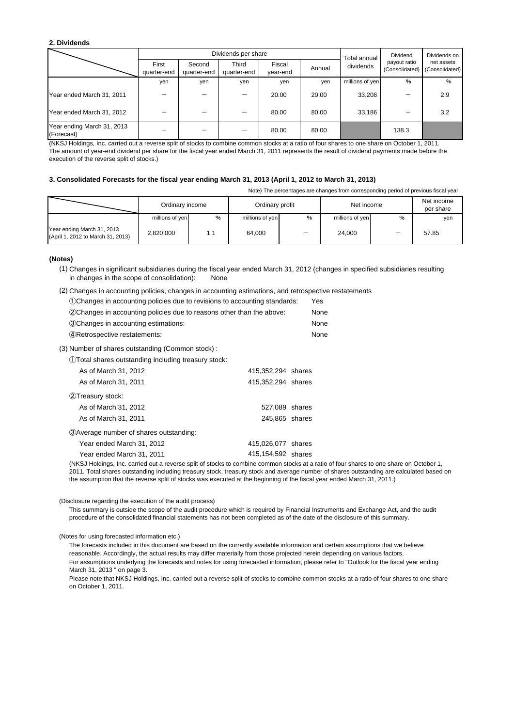#### **2. Dividends**

|                                          |                      | Dividends per share<br>Dividend<br>Total annual I |                      |                    |        |                 | Dividends on                   |                              |
|------------------------------------------|----------------------|---------------------------------------------------|----------------------|--------------------|--------|-----------------|--------------------------------|------------------------------|
|                                          | First<br>quarter-end | Second<br>quarter-end                             | Third<br>quarter-end | Fiscal<br>year-end | Annual | dividends       | payout ratio<br>(Consolidated) | net assets<br>(Consolidated) |
|                                          | yen                  | yen                                               | yen                  | yen                | yen    | millions of yen | $\frac{0}{0}$                  | %                            |
| Year ended March 31, 2011                |                      |                                                   |                      | 20.00              | 20.00  | 33,208          |                                | 2.9                          |
| Year ended March 31, 2012                |                      |                                                   |                      | 80.00              | 80.00  | 33,186          |                                | 3.2                          |
| Year ending March 31, 2013<br>(Forecast) |                      |                                                   |                      | 80.00              | 80.00  |                 | 138.3                          |                              |

(NKSJ Holdings, Inc. carried out a reverse split of stocks to combine common stocks at a ratio of four shares to one share on October 1, 2011. The amount of year-end dividend per share for the fiscal year ended March 31, 2011 represents the result of dividend payments made before the execution of the reverse split of stocks.)

#### **3. Consolidated Forecasts for the fiscal year ending March 31, 2013 (April 1, 2012 to March 31, 2013)**

Note) The percentages are changes from corresponding period of previous fiscal year.

|                                                                 | Ordinary income |      | Ordinary profit |      | Net income      |   | Net income<br>per share |
|-----------------------------------------------------------------|-----------------|------|-----------------|------|-----------------|---|-------------------------|
|                                                                 | millions of yen | $\%$ | millions of yen | $\%$ | millions of yen | % | yen                     |
| Year ending March 31, 2013<br>(April 1, 2012 to March 31, 2013) | 2.820.000       | 1.1  | 64.000          | -    | 24.000          |   | 57.85                   |

#### **(Notes)**

(1) Changes in significant subsidiaries during the fiscal year ended March 31, 2012 (changes in specified subsidiaries resulting in changes in the scope of consolidation): None

<sup>(2)</sup> Changes in accounting policies, changes in accounting estimations, and retrospective restatements

| (1) Changes in accounting policies due to revisions to accounting standards: | Yes  |
|------------------------------------------------------------------------------|------|
| (2) Changes in accounting policies due to reasons other than the above:      | None |
| 3. Changes in accounting estimations:                                        | None |
| 4) Retrospective restatements:                                               | None |
| (3) Number of shares outstanding (Common stock):                             |      |
| 1) Total shares outstanding including treasury stock:                        |      |

①Total shares outstanding including treasury stock:

| As of March 31, 2012                     | 415,352,294 shares |  |
|------------------------------------------|--------------------|--|
| As of March 31, 2011                     | 415,352,294 shares |  |
| 2Treasury stock:                         |                    |  |
| As of March 31, 2012                     | 527,089 shares     |  |
| As of March 31, 2011                     | 245,865 shares     |  |
| 3) Average number of shares outstanding: |                    |  |
| Year ended March 31, 2012                | 415,026,077 shares |  |
| Year ended March 31, 2011                | 415,154,592 shares |  |

(NKSJ Holdings, Inc. carried out a reverse split of stocks to combine common stocks at a ratio of four shares to one share on October 1, 2011. Total shares outstanding including treasury stock, treasury stock and average number of shares outstanding are calculated based on the assumption that the reverse split of stocks was executed at the beginning of the fiscal year ended March 31, 2011.)

#### (Disclosure regarding the execution of the audit process)

This summary is outside the scope of the audit procedure which is required by Financial Instruments and Exchange Act, and the audit procedure of the consolidated financial statements has not been completed as of the date of the disclosure of this summary.

#### (Notes for using forecasted information etc.)

The forecasts included in this document are based on the currently available information and certain assumptions that we believe reasonable. Accordingly, the actual results may differ materially from those projected herein depending on various factors. For assumptions underlying the forecasts and notes for using forecasted information, please refer to "Outlook for the fiscal year ending March 31, 2013 " on page 3.

Please note that NKSJ Holdings, Inc. carried out a reverse split of stocks to combine common stocks at a ratio of four shares to one share on October 1, 2011.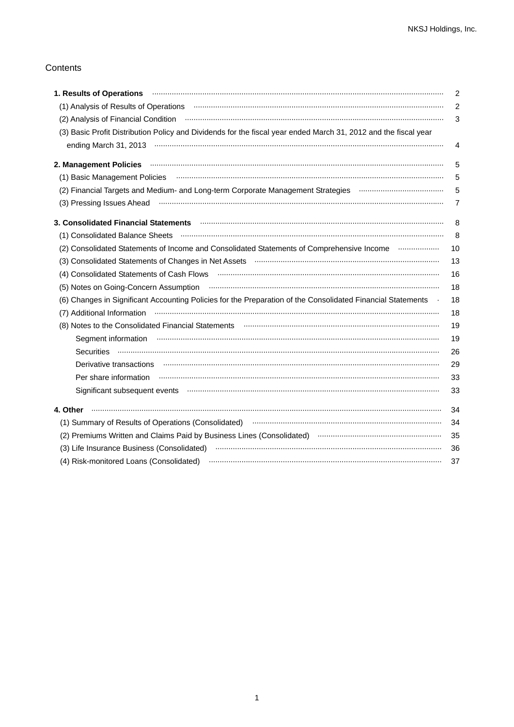# Contents

|                                                                                                                                                                                                                                | $\overline{c}$ |
|--------------------------------------------------------------------------------------------------------------------------------------------------------------------------------------------------------------------------------|----------------|
|                                                                                                                                                                                                                                | 2              |
| (2) Analysis of Financial Condition <b>www.communical contracts</b> (2) Analysis of Financial Condition                                                                                                                        | 3              |
| (3) Basic Profit Distribution Policy and Dividends for the fiscal year ended March 31, 2012 and the fiscal year                                                                                                                |                |
|                                                                                                                                                                                                                                | 4              |
| 2. Management Policies (and according to the control of the control of the control of the control of the control of the control of the control of the control of the control of the control of the control of the control of t | 5              |
| (1) Basic Management Policies (and accordinational continuum and according to the distribution of the contract of                                                                                                              | 5              |
|                                                                                                                                                                                                                                | 5              |
| (3) Pressing Issues Ahead manufactured and the manufacture of the Ahead manufacture and the Ahead manufacture                                                                                                                  | 7              |
| 3. Consolidated Financial Statements <b>Mateman Constructs (2019)</b> 3. Consolidated Financial Statements <b>Mateman Constructs</b>                                                                                           | 8              |
|                                                                                                                                                                                                                                | 8              |
| (2) Consolidated Statements of Income and Consolidated Statements of Comprehensive Income                                                                                                                                      | 10             |
|                                                                                                                                                                                                                                | 13             |
|                                                                                                                                                                                                                                | 16             |
|                                                                                                                                                                                                                                | 18             |
| (6) Changes in Significant Accounting Policies for the Preparation of the Consolidated Financial Statements .                                                                                                                  | 18             |
|                                                                                                                                                                                                                                | 18             |
|                                                                                                                                                                                                                                | 19             |
| Segment information www.communically.com/news/manual-communically-segment information www.communically-                                                                                                                        | 19             |
|                                                                                                                                                                                                                                | 26             |
|                                                                                                                                                                                                                                | 29             |
|                                                                                                                                                                                                                                | 33             |
| Significant subsequent events www.communication.communication.communication.com/                                                                                                                                               | 33             |
| 4. Other                                                                                                                                                                                                                       | 34             |
| (1) Summary of Results of Operations (Consolidated) manufactured and continuum control of Results of Operations (Consolidated)                                                                                                 | 34             |
| (2) Premiums Written and Claims Paid by Business Lines (Consolidated) manufactured and content to the content                                                                                                                  | 35             |
|                                                                                                                                                                                                                                | 36             |
|                                                                                                                                                                                                                                | 37             |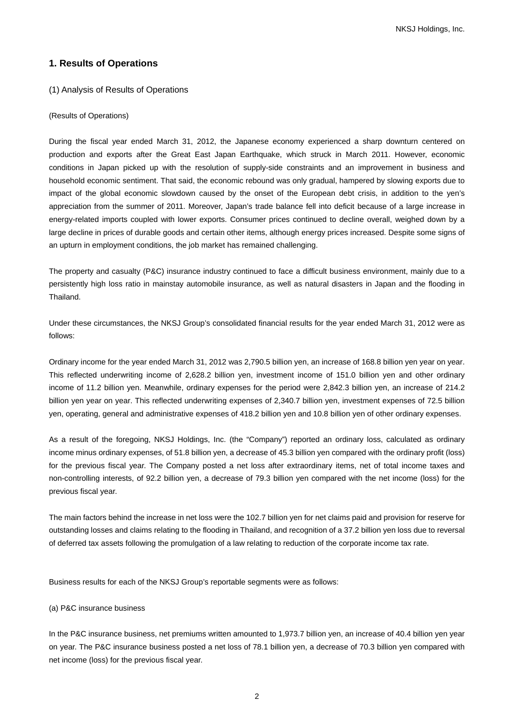NKSJ Holdings, Inc.

# **1. Results of Operations**

# (1) Analysis of Results of Operations

#### (Results of Operations)

During the fiscal year ended March 31, 2012, the Japanese economy experienced a sharp downturn centered on production and exports after the Great East Japan Earthquake, which struck in March 2011. However, economic conditions in Japan picked up with the resolution of supply-side constraints and an improvement in business and household economic sentiment. That said, the economic rebound was only gradual, hampered by slowing exports due to impact of the global economic slowdown caused by the onset of the European debt crisis, in addition to the yen's appreciation from the summer of 2011. Moreover, Japan's trade balance fell into deficit because of a large increase in energy-related imports coupled with lower exports. Consumer prices continued to decline overall, weighed down by a large decline in prices of durable goods and certain other items, although energy prices increased. Despite some signs of an upturn in employment conditions, the job market has remained challenging.

The property and casualty (P&C) insurance industry continued to face a difficult business environment, mainly due to a persistently high loss ratio in mainstay automobile insurance, as well as natural disasters in Japan and the flooding in Thailand.

Under these circumstances, the NKSJ Group's consolidated financial results for the year ended March 31, 2012 were as follows:

Ordinary income for the year ended March 31, 2012 was 2,790.5 billion yen, an increase of 168.8 billion yen year on year. This reflected underwriting income of 2,628.2 billion yen, investment income of 151.0 billion yen and other ordinary income of 11.2 billion yen. Meanwhile, ordinary expenses for the period were 2,842.3 billion yen, an increase of 214.2 billion yen year on year. This reflected underwriting expenses of 2,340.7 billion yen, investment expenses of 72.5 billion yen, operating, general and administrative expenses of 418.2 billion yen and 10.8 billion yen of other ordinary expenses.

As a result of the foregoing, NKSJ Holdings, Inc. (the "Company") reported an ordinary loss, calculated as ordinary income minus ordinary expenses, of 51.8 billion yen, a decrease of 45.3 billion yen compared with the ordinary profit (loss) for the previous fiscal year. The Company posted a net loss after extraordinary items, net of total income taxes and non-controlling interests, of 92.2 billion yen, a decrease of 79.3 billion yen compared with the net income (loss) for the previous fiscal year.

The main factors behind the increase in net loss were the 102.7 billion yen for net claims paid and provision for reserve for outstanding losses and claims relating to the flooding in Thailand, and recognition of a 37.2 billion yen loss due to reversal of deferred tax assets following the promulgation of a law relating to reduction of the corporate income tax rate.

Business results for each of the NKSJ Group's reportable segments were as follows:

### (a) P&C insurance business

In the P&C insurance business, net premiums written amounted to 1,973.7 billion yen, an increase of 40.4 billion yen year on year. The P&C insurance business posted a net loss of 78.1 billion yen, a decrease of 70.3 billion yen compared with net income (loss) for the previous fiscal year.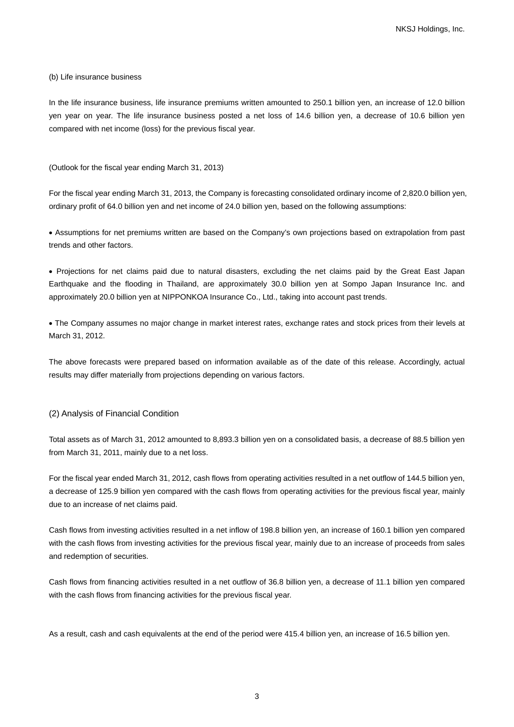#### (b) Life insurance business

In the life insurance business, life insurance premiums written amounted to 250.1 billion yen, an increase of 12.0 billion yen year on year. The life insurance business posted a net loss of 14.6 billion yen, a decrease of 10.6 billion yen compared with net income (loss) for the previous fiscal year.

(Outlook for the fiscal year ending March 31, 2013)

For the fiscal year ending March 31, 2013, the Company is forecasting consolidated ordinary income of 2,820.0 billion yen, ordinary profit of 64.0 billion yen and net income of 24.0 billion yen, based on the following assumptions:

• Assumptions for net premiums written are based on the Company's own projections based on extrapolation from past trends and other factors.

• Projections for net claims paid due to natural disasters, excluding the net claims paid by the Great East Japan Earthquake and the flooding in Thailand, are approximately 30.0 billion yen at Sompo Japan Insurance Inc. and approximately 20.0 billion yen at NIPPONKOA Insurance Co., Ltd., taking into account past trends.

• The Company assumes no major change in market interest rates, exchange rates and stock prices from their levels at March 31, 2012.

The above forecasts were prepared based on information available as of the date of this release. Accordingly, actual results may differ materially from projections depending on various factors.

#### (2) Analysis of Financial Condition

Total assets as of March 31, 2012 amounted to 8,893.3 billion yen on a consolidated basis, a decrease of 88.5 billion yen from March 31, 2011, mainly due to a net loss.

For the fiscal year ended March 31, 2012, cash flows from operating activities resulted in a net outflow of 144.5 billion yen, a decrease of 125.9 billion yen compared with the cash flows from operating activities for the previous fiscal year, mainly due to an increase of net claims paid.

Cash flows from investing activities resulted in a net inflow of 198.8 billion yen, an increase of 160.1 billion yen compared with the cash flows from investing activities for the previous fiscal year, mainly due to an increase of proceeds from sales and redemption of securities.

Cash flows from financing activities resulted in a net outflow of 36.8 billion yen, a decrease of 11.1 billion yen compared with the cash flows from financing activities for the previous fiscal year.

As a result, cash and cash equivalents at the end of the period were 415.4 billion yen, an increase of 16.5 billion yen.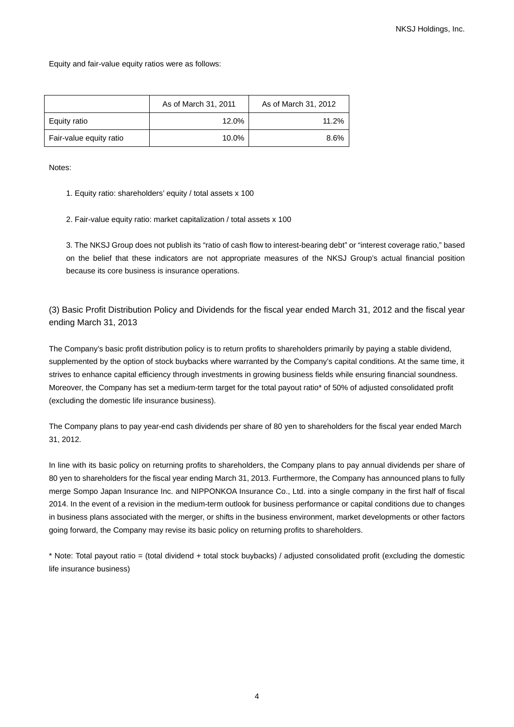Equity and fair-value equity ratios were as follows:

|                         | As of March 31, 2011 | As of March 31, 2012 |
|-------------------------|----------------------|----------------------|
| Equity ratio            | 12.0%                | 11.2%                |
| Fair-value equity ratio | 10.0%                | 8.6%                 |

Notes:

- 1. Equity ratio: shareholders' equity / total assets x 100
- 2. Fair-value equity ratio: market capitalization / total assets x 100

3. The NKSJ Group does not publish its "ratio of cash flow to interest-bearing debt" or "interest coverage ratio," based on the belief that these indicators are not appropriate measures of the NKSJ Group's actual financial position because its core business is insurance operations.

(3) Basic Profit Distribution Policy and Dividends for the fiscal year ended March 31, 2012 and the fiscal year ending March 31, 2013

The Company's basic profit distribution policy is to return profits to shareholders primarily by paying a stable dividend, supplemented by the option of stock buybacks where warranted by the Company's capital conditions. At the same time, it strives to enhance capital efficiency through investments in growing business fields while ensuring financial soundness. Moreover, the Company has set a medium-term target for the total payout ratio\* of 50% of adjusted consolidated profit (excluding the domestic life insurance business).

The Company plans to pay year-end cash dividends per share of 80 yen to shareholders for the fiscal year ended March 31, 2012.

In line with its basic policy on returning profits to shareholders, the Company plans to pay annual dividends per share of 80 yen to shareholders for the fiscal year ending March 31, 2013. Furthermore, the Company has announced plans to fully merge Sompo Japan Insurance Inc. and NIPPONKOA Insurance Co., Ltd. into a single company in the first half of fiscal 2014. In the event of a revision in the medium-term outlook for business performance or capital conditions due to changes in business plans associated with the merger, or shifts in the business environment, market developments or other factors going forward, the Company may revise its basic policy on returning profits to shareholders.

\* Note: Total payout ratio = (total dividend + total stock buybacks) / adjusted consolidated profit (excluding the domestic life insurance business)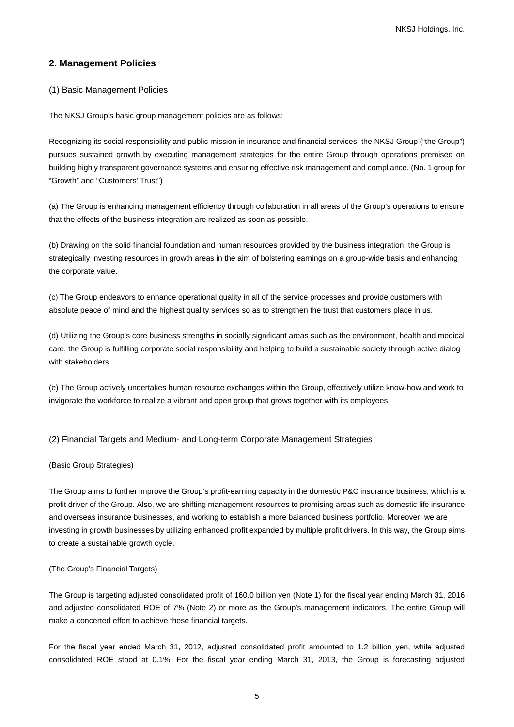# **2. Management Policies**

# (1) Basic Management Policies

The NKSJ Group's basic group management policies are as follows:

Recognizing its social responsibility and public mission in insurance and financial services, the NKSJ Group ("the Group") pursues sustained growth by executing management strategies for the entire Group through operations premised on building highly transparent governance systems and ensuring effective risk management and compliance. (No. 1 group for "Growth" and "Customers' Trust")

(a) The Group is enhancing management efficiency through collaboration in all areas of the Group's operations to ensure that the effects of the business integration are realized as soon as possible.

(b) Drawing on the solid financial foundation and human resources provided by the business integration, the Group is strategically investing resources in growth areas in the aim of bolstering earnings on a group-wide basis and enhancing the corporate value.

(c) The Group endeavors to enhance operational quality in all of the service processes and provide customers with absolute peace of mind and the highest quality services so as to strengthen the trust that customers place in us.

(d) Utilizing the Group's core business strengths in socially significant areas such as the environment, health and medical care, the Group is fulfilling corporate social responsibility and helping to build a sustainable society through active dialog with stakeholders.

(e) The Group actively undertakes human resource exchanges within the Group, effectively utilize know-how and work to invigorate the workforce to realize a vibrant and open group that grows together with its employees.

## (2) Financial Targets and Medium- and Long-term Corporate Management Strategies

#### (Basic Group Strategies)

The Group aims to further improve the Group's profit-earning capacity in the domestic P&C insurance business, which is a profit driver of the Group. Also, we are shifting management resources to promising areas such as domestic life insurance and overseas insurance businesses, and working to establish a more balanced business portfolio. Moreover, we are investing in growth businesses by utilizing enhanced profit expanded by multiple profit drivers. In this way, the Group aims to create a sustainable growth cycle.

#### (The Group's Financial Targets)

The Group is targeting adjusted consolidated profit of 160.0 billion yen (Note 1) for the fiscal year ending March 31, 2016 and adjusted consolidated ROE of 7% (Note 2) or more as the Group's management indicators. The entire Group will make a concerted effort to achieve these financial targets.

For the fiscal year ended March 31, 2012, adjusted consolidated profit amounted to 1.2 billion yen, while adjusted consolidated ROE stood at 0.1%. For the fiscal year ending March 31, 2013, the Group is forecasting adjusted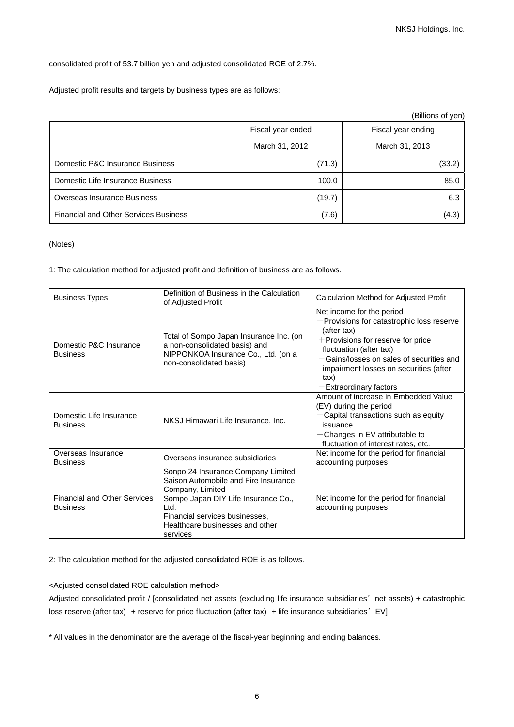consolidated profit of 53.7 billion yen and adjusted consolidated ROE of 2.7%.

Adjusted profit results and targets by business types are as follows:

|                                              |                   | (Billions of yen)  |
|----------------------------------------------|-------------------|--------------------|
|                                              | Fiscal year ended | Fiscal year ending |
|                                              | March 31, 2012    | March 31, 2013     |
| Domestic P&C Insurance Business              | (71.3)            | (33.2)             |
| Domestic Life Insurance Business             | 100.0             | 85.0               |
| Overseas Insurance Business                  | (19.7)            | 6.3                |
| <b>Financial and Other Services Business</b> | (7.6)             | (4.3)              |

(Notes)

1: The calculation method for adjusted profit and definition of business are as follows.

| <b>Business Types</b>                                  | Definition of Business in the Calculation<br>of Adjusted Profit                                                                                                                                                                | Calculation Method for Adjusted Profit                                                                                                                                                                                                                                           |
|--------------------------------------------------------|--------------------------------------------------------------------------------------------------------------------------------------------------------------------------------------------------------------------------------|----------------------------------------------------------------------------------------------------------------------------------------------------------------------------------------------------------------------------------------------------------------------------------|
| Domestic P&C Insurance<br><b>Business</b>              | Total of Sompo Japan Insurance Inc. (on<br>a non-consolidated basis) and<br>NIPPONKOA Insurance Co., Ltd. (on a<br>non-consolidated basis)                                                                                     | Net income for the period<br>$+$ Provisions for catastrophic loss reserve<br>(after tax)<br>+Provisions for reserve for price<br>fluctuation (after tax)<br>-Gains/losses on sales of securities and<br>impairment losses on securities (after<br>tax)<br>-Extraordinary factors |
| Domestic Life Insurance<br><b>Business</b>             | NKSJ Himawari Life Insurance, Inc.                                                                                                                                                                                             | Amount of increase in Embedded Value<br>(EV) during the period<br>$-$ Capital transactions such as equity<br>issuance<br>$-$ Changes in EV attributable to<br>fluctuation of interest rates, etc.                                                                                |
| Overseas Insurance<br><b>Business</b>                  | Overseas insurance subsidiaries                                                                                                                                                                                                | Net income for the period for financial<br>accounting purposes                                                                                                                                                                                                                   |
| <b>Financial and Other Services</b><br><b>Business</b> | Sonpo 24 Insurance Company Limited<br>Saison Automobile and Fire Insurance<br>Company, Limited<br>Sompo Japan DIY Life Insurance Co.,<br>Ltd.<br>Financial services businesses,<br>Healthcare businesses and other<br>services | Net income for the period for financial<br>accounting purposes                                                                                                                                                                                                                   |

2: The calculation method for the adjusted consolidated ROE is as follows.

<Adjusted consolidated ROE calculation method>

Adjusted consolidated profit / [consolidated net assets (excluding life insurance subsidiaries' net assets) + catastrophic loss reserve (after tax) + reserve for price fluctuation (after tax) + life insurance subsidiaries' EV]

\* All values in the denominator are the average of the fiscal-year beginning and ending balances.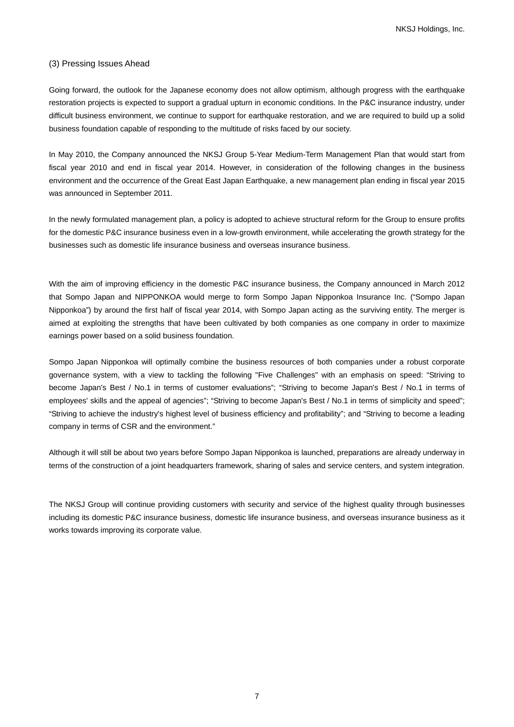## (3) Pressing Issues Ahead

Going forward, the outlook for the Japanese economy does not allow optimism, although progress with the earthquake restoration projects is expected to support a gradual upturn in economic conditions. In the P&C insurance industry, under difficult business environment, we continue to support for earthquake restoration, and we are required to build up a solid business foundation capable of responding to the multitude of risks faced by our society.

In May 2010, the Company announced the NKSJ Group 5-Year Medium-Term Management Plan that would start from fiscal year 2010 and end in fiscal year 2014. However, in consideration of the following changes in the business environment and the occurrence of the Great East Japan Earthquake, a new management plan ending in fiscal year 2015 was announced in September 2011.

In the newly formulated management plan, a policy is adopted to achieve structural reform for the Group to ensure profits for the domestic P&C insurance business even in a low-growth environment, while accelerating the growth strategy for the businesses such as domestic life insurance business and overseas insurance business.

With the aim of improving efficiency in the domestic P&C insurance business, the Company announced in March 2012 that Sompo Japan and NIPPONKOA would merge to form Sompo Japan Nipponkoa Insurance Inc. ("Sompo Japan Nipponkoa") by around the first half of fiscal year 2014, with Sompo Japan acting as the surviving entity. The merger is aimed at exploiting the strengths that have been cultivated by both companies as one company in order to maximize earnings power based on a solid business foundation.

Sompo Japan Nipponkoa will optimally combine the business resources of both companies under a robust corporate governance system, with a view to tackling the following "Five Challenges" with an emphasis on speed: "Striving to become Japan's Best / No.1 in terms of customer evaluations"; "Striving to become Japan's Best / No.1 in terms of employees' skills and the appeal of agencies"; "Striving to become Japan's Best / No.1 in terms of simplicity and speed"; "Striving to achieve the industry's highest level of business efficiency and profitability"; and "Striving to become a leading company in terms of CSR and the environment."

Although it will still be about two years before Sompo Japan Nipponkoa is launched, preparations are already underway in terms of the construction of a joint headquarters framework, sharing of sales and service centers, and system integration.

The NKSJ Group will continue providing customers with security and service of the highest quality through businesses including its domestic P&C insurance business, domestic life insurance business, and overseas insurance business as it works towards improving its corporate value.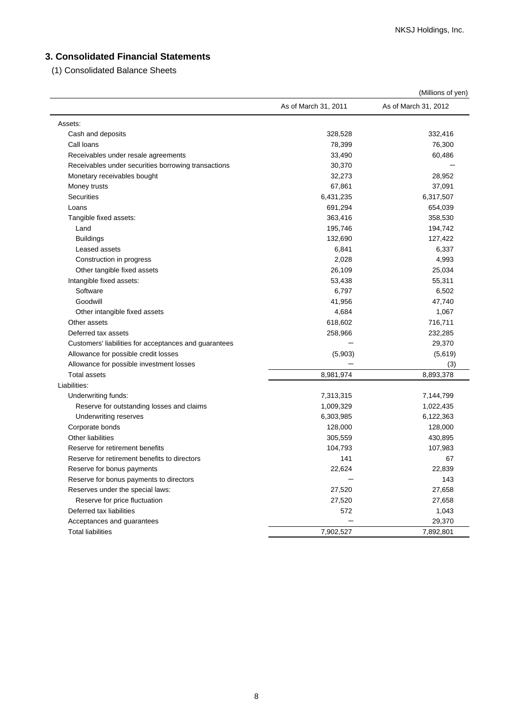# **3. Consolidated Financial Statements**

(1) Consolidated Balance Sheets

|                                                       |                      | (Millions of yen)    |
|-------------------------------------------------------|----------------------|----------------------|
|                                                       | As of March 31, 2011 | As of March 31, 2012 |
| Assets:                                               |                      |                      |
| Cash and deposits                                     | 328,528              | 332,416              |
| Call loans                                            | 78,399               | 76,300               |
| Receivables under resale agreements                   | 33,490               | 60,486               |
| Receivables under securities borrowing transactions   | 30,370               |                      |
| Monetary receivables bought                           | 32,273               | 28,952               |
| Money trusts                                          | 67,861               | 37,091               |
| <b>Securities</b>                                     | 6,431,235            | 6,317,507            |
| Loans                                                 | 691,294              | 654,039              |
| Tangible fixed assets:                                | 363,416              | 358,530              |
| Land                                                  | 195,746              | 194,742              |
| <b>Buildings</b>                                      | 132,690              | 127,422              |
| Leased assets                                         | 6,841                | 6,337                |
| Construction in progress                              | 2,028                | 4,993                |
| Other tangible fixed assets                           | 26,109               | 25,034               |
| Intangible fixed assets:                              | 53,438               | 55,311               |
| Software                                              | 6,797                | 6,502                |
| Goodwill                                              | 41,956               | 47,740               |
| Other intangible fixed assets                         | 4,684                | 1,067                |
| Other assets                                          | 618,602              | 716,711              |
| Deferred tax assets                                   | 258,966              | 232,285              |
| Customers' liabilities for acceptances and guarantees |                      | 29,370               |
| Allowance for possible credit losses                  | (5,903)              | (5,619)              |
| Allowance for possible investment losses              |                      | (3)                  |
| <b>Total assets</b>                                   | 8,981,974            | 8,893,378            |
| Liabilities:                                          |                      |                      |
| Underwriting funds:                                   | 7,313,315            | 7,144,799            |
| Reserve for outstanding losses and claims             | 1,009,329            | 1,022,435            |
| Underwriting reserves                                 | 6,303,985            | 6,122,363            |
| Corporate bonds                                       | 128,000              | 128,000              |
| <b>Other liabilities</b>                              | 305,559              | 430,895              |
| Reserve for retirement benefits                       | 104,793              | 107,983              |
| Reserve for retirement benefits to directors          | 141                  | 67                   |
| Reserve for bonus payments                            | 22,624               | 22,839               |
| Reserve for bonus payments to directors               |                      | 143                  |
| Reserves under the special laws:                      | 27,520               | 27,658               |
| Reserve for price fluctuation                         | 27,520               | 27,658               |
| Deferred tax liabilities                              | 572                  | 1,043                |
| Acceptances and guarantees                            |                      | 29,370               |
| <b>Total liabilities</b>                              | 7,902,527            | 7,892,801            |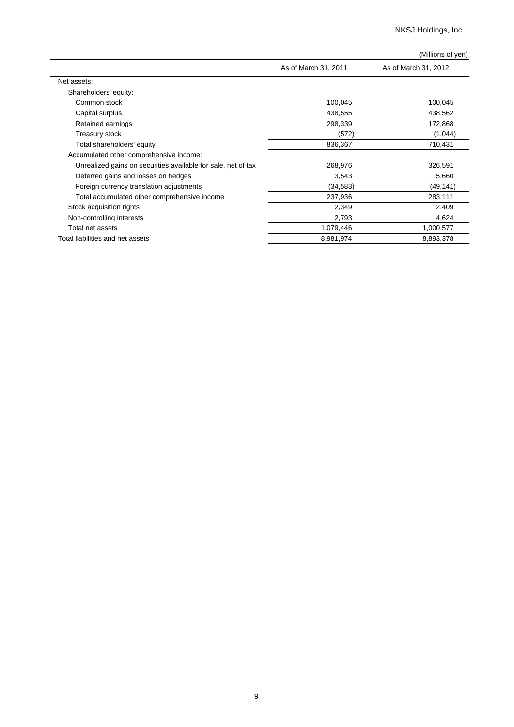NKSJ Holdings, Inc.

|                                                               |                      | (Millions of yen)    |
|---------------------------------------------------------------|----------------------|----------------------|
|                                                               | As of March 31, 2011 | As of March 31, 2012 |
| Net assets:                                                   |                      |                      |
| Shareholders' equity:                                         |                      |                      |
| Common stock                                                  | 100,045              | 100,045              |
| Capital surplus                                               | 438,555              | 438,562              |
| Retained earnings                                             | 298,339              | 172,868              |
| Treasury stock                                                | (572)                | (1,044)              |
| Total shareholders' equity                                    | 836,367              | 710,431              |
| Accumulated other comprehensive income:                       |                      |                      |
| Unrealized gains on securities available for sale, net of tax | 268,976              | 326,591              |
| Deferred gains and losses on hedges                           | 3,543                | 5,660                |
| Foreign currency translation adjustments                      | (34, 583)            | (49, 141)            |
| Total accumulated other comprehensive income                  | 237,936              | 283,111              |
| Stock acquisition rights                                      | 2,349                | 2,409                |
| Non-controlling interests                                     | 2,793                | 4,624                |
| Total net assets                                              | 1,079,446            | 1,000,577            |
| Total liabilities and net assets                              | 8,981,974            | 8,893,378            |
|                                                               |                      |                      |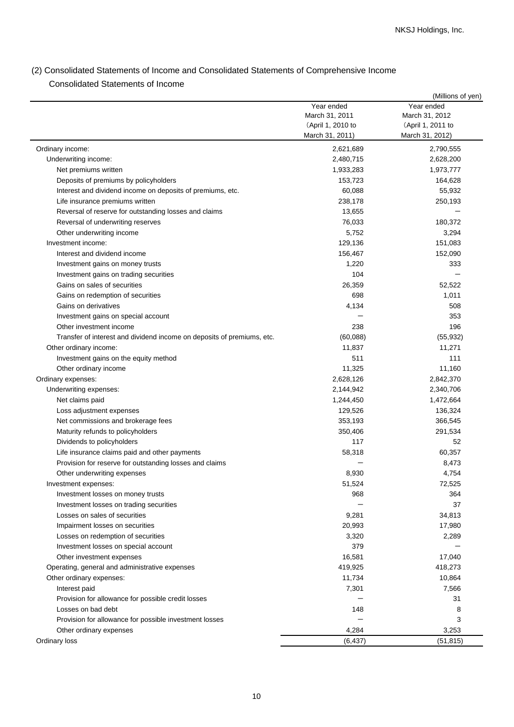# (2) Consolidated Statements of Income and Consolidated Statements of Comprehensive Income Consolidated Statements of Income

|                                                                        |                   | (Millions of yen) |
|------------------------------------------------------------------------|-------------------|-------------------|
|                                                                        | Year ended        | Year ended        |
|                                                                        | March 31, 2011    | March 31, 2012    |
|                                                                        | (April 1, 2010 to | (April 1, 2011 to |
|                                                                        | March 31, 2011)   | March 31, 2012)   |
| Ordinary income:                                                       | 2,621,689         | 2,790,555         |
| Underwriting income:                                                   | 2,480,715         | 2,628,200         |
| Net premiums written                                                   | 1,933,283         | 1,973,777         |
| Deposits of premiums by policyholders                                  | 153,723           | 164,628           |
| Interest and dividend income on deposits of premiums, etc.             | 60,088            | 55,932            |
| Life insurance premiums written                                        | 238,178           | 250,193           |
| Reversal of reserve for outstanding losses and claims                  | 13,655            |                   |
| Reversal of underwriting reserves                                      | 76,033            | 180,372           |
| Other underwriting income                                              | 5,752             | 3,294             |
| Investment income:                                                     | 129,136           | 151,083           |
| Interest and dividend income                                           | 156,467           | 152,090           |
| Investment gains on money trusts                                       | 1,220             | 333               |
| Investment gains on trading securities                                 | 104               |                   |
| Gains on sales of securities                                           | 26,359            | 52,522            |
| Gains on redemption of securities                                      | 698               | 1,011             |
| Gains on derivatives                                                   | 4,134             | 508               |
| Investment gains on special account                                    |                   | 353               |
| Other investment income                                                | 238               | 196               |
| Transfer of interest and dividend income on deposits of premiums, etc. | (60,088)          | (55, 932)         |
| Other ordinary income:                                                 | 11,837            | 11,271            |
|                                                                        | 511               | 111               |
| Investment gains on the equity method                                  | 11,325            | 11,160            |
| Other ordinary income                                                  | 2,628,126         | 2,842,370         |
| Ordinary expenses:<br>Underwriting expenses:                           | 2,144,942         | 2,340,706         |
|                                                                        |                   |                   |
| Net claims paid                                                        | 1,244,450         | 1,472,664         |
| Loss adjustment expenses                                               | 129,526           | 136,324           |
| Net commissions and brokerage fees                                     | 353,193           | 366,545           |
| Maturity refunds to policyholders                                      | 350,406           | 291,534           |
| Dividends to policyholders                                             | 117               | 52                |
| Life insurance claims paid and other payments                          | 58,318            | 60,357            |
| Provision for reserve for outstanding losses and claims                |                   | 8,473             |
| Other underwriting expenses                                            | 8,930             | 4,754             |
| Investment expenses:                                                   | 51,524            | 72,525            |
| Investment losses on money trusts                                      | 968               | 364               |
| Investment losses on trading securities                                |                   | 37                |
| Losses on sales of securities                                          | 9,281             | 34,813            |
| Impairment losses on securities                                        | 20,993            | 17,980            |
| Losses on redemption of securities                                     | 3,320             | 2,289             |
| Investment losses on special account                                   | 379               |                   |
| Other investment expenses                                              | 16,581            | 17,040            |
| Operating, general and administrative expenses                         | 419,925           | 418,273           |
| Other ordinary expenses:                                               | 11,734            | 10,864            |
| Interest paid                                                          | 7,301             | 7,566             |
| Provision for allowance for possible credit losses                     |                   | 31                |
| Losses on bad debt                                                     | 148               | 8                 |
| Provision for allowance for possible investment losses                 |                   | 3                 |
| Other ordinary expenses                                                | 4,284             | 3,253             |
| Ordinary loss                                                          | (6, 437)          | (51, 815)         |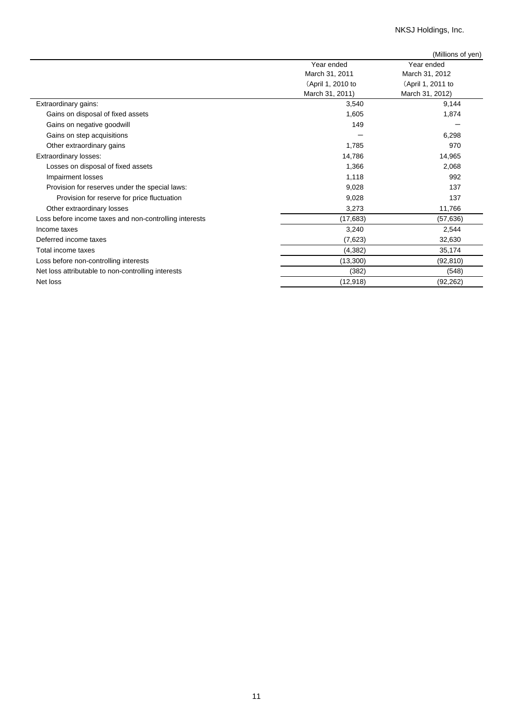NKSJ Holdings, Inc.

|                                                        |                   | (Millions of yen) |
|--------------------------------------------------------|-------------------|-------------------|
|                                                        | Year ended        | Year ended        |
|                                                        | March 31, 2011    | March 31, 2012    |
|                                                        | (April 1, 2010 to | (April 1, 2011 to |
|                                                        | March 31, 2011)   | March 31, 2012)   |
| Extraordinary gains:                                   | 3,540             | 9,144             |
| Gains on disposal of fixed assets                      | 1,605             | 1,874             |
| Gains on negative goodwill                             | 149               |                   |
| Gains on step acquisitions                             |                   | 6,298             |
| Other extraordinary gains                              | 1,785             | 970               |
| <b>Extraordinary losses:</b>                           | 14,786            | 14,965            |
| Losses on disposal of fixed assets                     | 1,366             | 2,068             |
| Impairment losses                                      | 1,118             | 992               |
| Provision for reserves under the special laws:         | 9,028             | 137               |
| Provision for reserve for price fluctuation            | 9,028             | 137               |
| Other extraordinary losses                             | 3,273             | 11,766            |
| Loss before income taxes and non-controlling interests | (17,683)          | (57, 636)         |
| Income taxes                                           | 3,240             | 2,544             |
| Deferred income taxes                                  | (7,623)           | 32,630            |
| Total income taxes                                     | (4, 382)          | 35,174            |
| Loss before non-controlling interests                  | (13,300)          | (92, 810)         |
| Net loss attributable to non-controlling interests     | (382)             | (548)             |
| Net loss                                               | (12,918)          | (92, 262)         |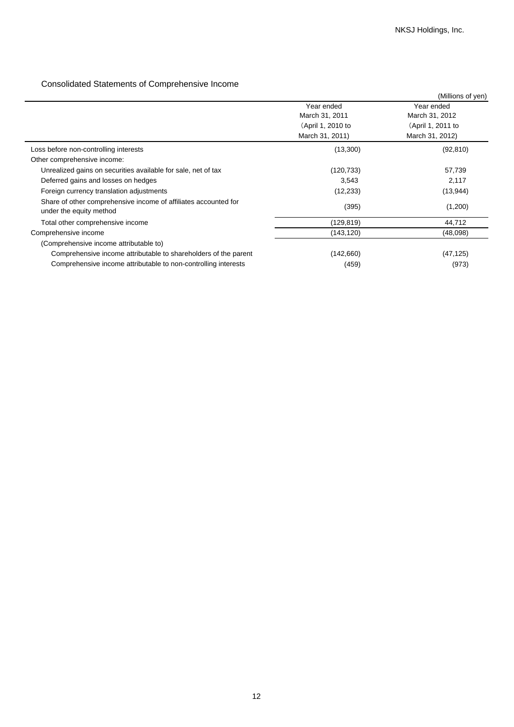# Consolidated Statements of Comprehensive Income

|                                                                                            |                   | (Millions of yen) |
|--------------------------------------------------------------------------------------------|-------------------|-------------------|
|                                                                                            | Year ended        | Year ended        |
|                                                                                            | March 31, 2011    | March 31, 2012    |
|                                                                                            | (April 1, 2010 to | (April 1, 2011 to |
|                                                                                            | March 31, 2011)   | March 31, 2012)   |
| Loss before non-controlling interests                                                      | (13,300)          | (92, 810)         |
| Other comprehensive income:                                                                |                   |                   |
| Unrealized gains on securities available for sale, net of tax                              | (120,733)         | 57,739            |
| Deferred gains and losses on hedges                                                        | 3,543             | 2,117             |
| Foreign currency translation adjustments                                                   | (12, 233)         | (13, 944)         |
| Share of other comprehensive income of affiliates accounted for<br>under the equity method | (395)             | (1,200)           |
| Total other comprehensive income                                                           | (129,819)         | 44,712            |
| Comprehensive income                                                                       | (143,120)         | (48,098)          |
| (Comprehensive income attributable to)                                                     |                   |                   |
| Comprehensive income attributable to shareholders of the parent                            | (142,660)         | (47, 125)         |
| Comprehensive income attributable to non-controlling interests                             | (459)             | (973)             |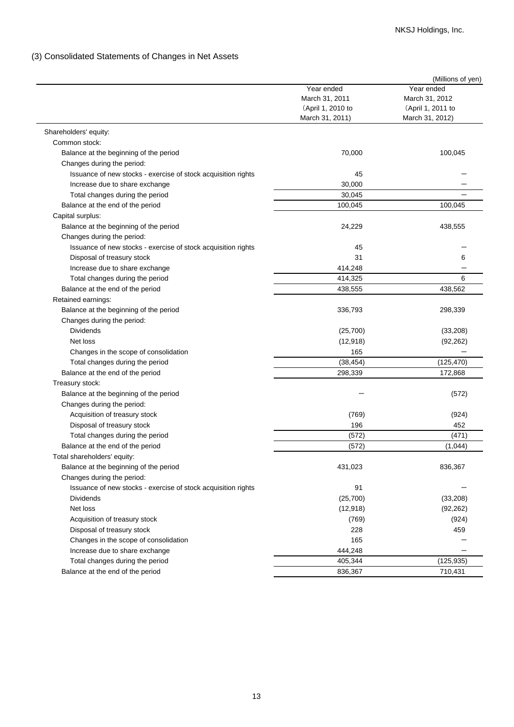# (3) Consolidated Statements of Changes in Net Assets

|                                                               |                              | (Millions of yen) |
|---------------------------------------------------------------|------------------------------|-------------------|
|                                                               | Year ended<br>March 31, 2011 | Year ended        |
|                                                               |                              | March 31, 2012    |
|                                                               | (April 1, 2010 to            | (April 1, 2011 to |
|                                                               | March 31, 2011)              | March 31, 2012)   |
| Shareholders' equity:                                         |                              |                   |
| Common stock:                                                 |                              |                   |
| Balance at the beginning of the period                        | 70,000                       | 100,045           |
| Changes during the period:                                    |                              |                   |
| Issuance of new stocks - exercise of stock acquisition rights | 45                           |                   |
| Increase due to share exchange                                | 30,000                       |                   |
| Total changes during the period                               | 30,045                       |                   |
| Balance at the end of the period                              | 100,045                      | 100,045           |
| Capital surplus:                                              |                              |                   |
| Balance at the beginning of the period                        | 24,229                       | 438,555           |
| Changes during the period:                                    |                              |                   |
| Issuance of new stocks - exercise of stock acquisition rights | 45                           |                   |
| Disposal of treasury stock                                    | 31                           | 6                 |
| Increase due to share exchange                                | 414,248                      |                   |
| Total changes during the period                               | 414,325                      | 6                 |
| Balance at the end of the period                              | 438,555                      | 438,562           |
| Retained earnings:                                            |                              |                   |
| Balance at the beginning of the period                        | 336,793                      | 298,339           |
|                                                               |                              |                   |
| Changes during the period:                                    |                              |                   |
| <b>Dividends</b>                                              | (25,700)                     | (33, 208)         |
| Net loss                                                      | (12, 918)                    | (92, 262)         |
| Changes in the scope of consolidation                         | 165                          |                   |
| Total changes during the period                               | (38, 454)                    | (125, 470)        |
| Balance at the end of the period                              | 298,339                      | 172,868           |
| Treasury stock:                                               |                              |                   |
| Balance at the beginning of the period                        |                              | (572)             |
| Changes during the period:                                    |                              |                   |
| Acquisition of treasury stock                                 | (769)                        | (924)             |
| Disposal of treasury stock                                    | 196                          | 452               |
| Total changes during the period                               | (572)                        | (471)             |
| Balance at the end of the period                              | (572)                        | (1,044)           |
| Total shareholders' equity:                                   |                              |                   |
| Balance at the beginning of the period                        | 431,023                      | 836,367           |
| Changes during the period:                                    |                              |                   |
| Issuance of new stocks - exercise of stock acquisition rights | 91                           |                   |
| <b>Dividends</b>                                              | (25,700)                     | (33, 208)         |
| Net loss                                                      | (12, 918)                    | (92, 262)         |
| Acquisition of treasury stock                                 | (769)                        | (924)             |
| Disposal of treasury stock                                    | 228                          | 459               |
| Changes in the scope of consolidation                         | 165                          |                   |
| Increase due to share exchange                                | 444,248                      |                   |
| Total changes during the period                               | 405,344                      | (125, 935)        |
| Balance at the end of the period                              | 836,367                      | 710,431           |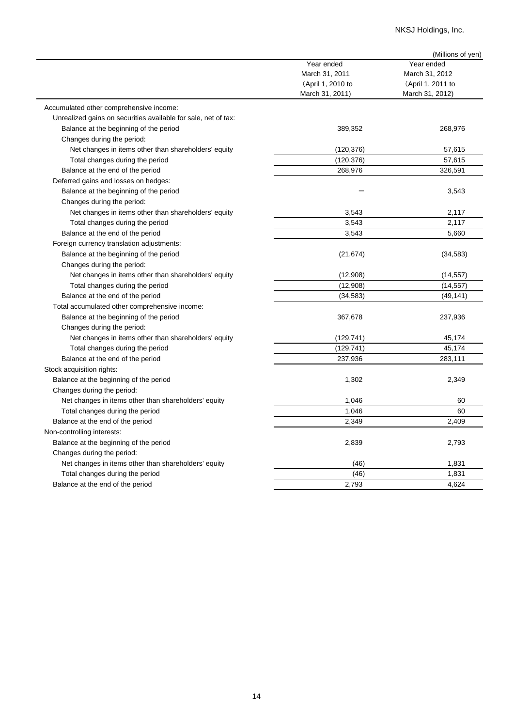# NKSJ Holdings, Inc.

|                                                                |                                     | (Millions of yen)                   |
|----------------------------------------------------------------|-------------------------------------|-------------------------------------|
|                                                                | Year ended                          | Year ended                          |
|                                                                | March 31, 2011<br>(April 1, 2010 to | March 31, 2012<br>(April 1, 2011 to |
|                                                                |                                     |                                     |
|                                                                | March 31, 2011)                     | March 31, 2012)                     |
| Accumulated other comprehensive income:                        |                                     |                                     |
| Unrealized gains on securities available for sale, net of tax: |                                     |                                     |
| Balance at the beginning of the period                         | 389,352                             | 268,976                             |
| Changes during the period:                                     |                                     |                                     |
| Net changes in items other than shareholders' equity           | (120, 376)                          | 57,615                              |
| Total changes during the period                                | (120, 376)                          | 57,615                              |
| Balance at the end of the period                               | 268,976                             | 326,591                             |
| Deferred gains and losses on hedges:                           |                                     |                                     |
| Balance at the beginning of the period                         |                                     | 3,543                               |
| Changes during the period:                                     |                                     |                                     |
| Net changes in items other than shareholders' equity           | 3,543                               | 2,117                               |
| Total changes during the period                                | 3,543                               | 2,117                               |
| Balance at the end of the period                               | 3,543                               | 5,660                               |
| Foreign currency translation adjustments:                      |                                     |                                     |
| Balance at the beginning of the period                         | (21, 674)                           | (34, 583)                           |
| Changes during the period:                                     |                                     |                                     |
| Net changes in items other than shareholders' equity           | (12,908)                            | (14, 557)                           |
| Total changes during the period                                | (12,908)                            | (14, 557)                           |
| Balance at the end of the period                               | (34, 583)                           | (49, 141)                           |
| Total accumulated other comprehensive income:                  |                                     |                                     |
| Balance at the beginning of the period                         | 367,678                             | 237,936                             |
| Changes during the period:                                     |                                     |                                     |
| Net changes in items other than shareholders' equity           | (129, 741)                          | 45,174                              |
| Total changes during the period                                | (129, 741)                          | 45,174                              |
| Balance at the end of the period                               | 237,936                             | 283,111                             |
| Stock acquisition rights:                                      |                                     |                                     |
| Balance at the beginning of the period                         | 1,302                               | 2,349                               |
| Changes during the period:                                     |                                     |                                     |
| Net changes in items other than shareholders' equity           | 1,046                               | 60                                  |
| Total changes during the period                                | 1,046                               | 60                                  |
| Balance at the end of the period                               | 2,349                               | 2,409                               |
| Non-controlling interests:                                     |                                     |                                     |
| Balance at the beginning of the period                         | 2,839                               | 2,793                               |
| Changes during the period:                                     |                                     |                                     |
| Net changes in items other than shareholders' equity           | (46)                                | 1,831                               |
| Total changes during the period                                | (46)                                | 1,831                               |
| Balance at the end of the period                               | 2,793                               | 4,624                               |
|                                                                |                                     |                                     |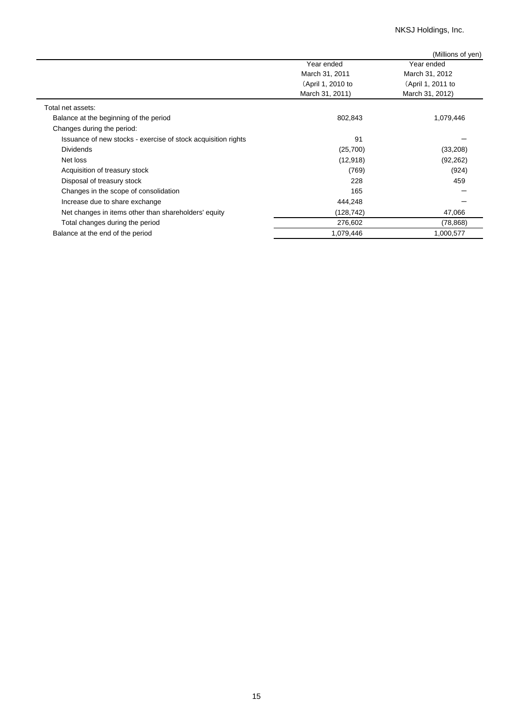NKSJ Holdings, Inc.

|                                                               |                   | (Millions of yen) |
|---------------------------------------------------------------|-------------------|-------------------|
|                                                               | Year ended        | Year ended        |
|                                                               | March 31, 2011    | March 31, 2012    |
|                                                               | (April 1, 2010 to | (April 1, 2011 to |
|                                                               | March 31, 2011)   | March 31, 2012)   |
| Total net assets:                                             |                   |                   |
| Balance at the beginning of the period                        | 802,843           | 1,079,446         |
| Changes during the period:                                    |                   |                   |
| Issuance of new stocks - exercise of stock acquisition rights | 91                |                   |
| <b>Dividends</b>                                              | (25,700)          | (33,208)          |
| Net loss                                                      | (12, 918)         | (92, 262)         |
| Acquisition of treasury stock                                 | (769)             | (924)             |
| Disposal of treasury stock                                    | 228               | 459               |
| Changes in the scope of consolidation                         | 165               |                   |
| Increase due to share exchange                                | 444,248           |                   |
| Net changes in items other than shareholders' equity          | (128, 742)        | 47,066            |
| Total changes during the period                               | 276,602           | (78, 868)         |
| Balance at the end of the period                              | 1,079,446         | 1,000,577         |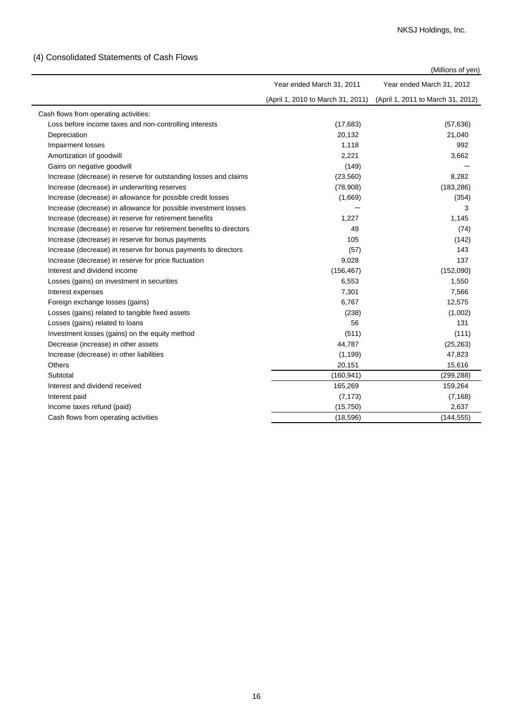# (4) Consolidated Statements of Cash Flows

| (Millions of yen) |  |
|-------------------|--|
|                   |  |

|                                                                     |                                   | (IVIIIIIONS OF YEN)               |
|---------------------------------------------------------------------|-----------------------------------|-----------------------------------|
|                                                                     | Year ended March 31, 2011         | Year ended March 31, 2012         |
|                                                                     | (April 1, 2010 to March 31, 2011) | (April 1, 2011 to March 31, 2012) |
| Cash flows from operating activities:                               |                                   |                                   |
| Loss before income taxes and non-controlling interests              | (17,683)                          | (57, 636)                         |
| Depreciation                                                        | 20,132                            | 21,040                            |
| Impairment losses                                                   | 1,118                             | 992                               |
| Amortization of goodwill                                            | 2,221                             | 3,662                             |
| Gains on negative goodwill                                          | (149)                             |                                   |
| Increase (decrease) in reserve for outstanding losses and claims    | (23, 560)                         | 8,282                             |
| Increase (decrease) in underwriting reserves                        | (78,908)                          | (183, 286)                        |
| Increase (decrease) in allowance for possible credit losses         | (1,669)                           | (354)                             |
| Increase (decrease) in allowance for possible investment losses     |                                   | 3                                 |
| Increase (decrease) in reserve for retirement benefits              | 1,227                             | 1,145                             |
| Increase (decrease) in reserve for retirement benefits to directors | 49                                | (74)                              |
| Increase (decrease) in reserve for bonus payments                   | 105                               | (142)                             |
| Increase (decrease) in reserve for bonus payments to directors      | (57)                              | 143                               |
| Increase (decrease) in reserve for price fluctuation                | 9,028                             | 137                               |
| Interest and dividend income                                        | (156, 467)                        | (152,090)                         |
| Losses (gains) on investment in securities                          | 6,553                             | 1,550                             |
| Interest expenses                                                   | 7,301                             | 7,566                             |
| Foreign exchange losses (gains)                                     | 6,767                             | 12,575                            |
| Losses (gains) related to tangible fixed assets                     | (238)                             | (1,002)                           |
| Losses (gains) related to loans                                     | 56                                | 131                               |
| Investment losses (gains) on the equity method                      | (511)                             | (111)                             |
| Decrease (increase) in other assets                                 | 44,787                            | (25, 263)                         |
| Increase (decrease) in other liabilities                            | (1, 199)                          | 47,823                            |
| Others                                                              | 20,151                            | 15,616                            |
| Subtotal                                                            | (160, 941)                        | (299, 288)                        |
| Interest and dividend received                                      | 165,269                           | 159,264                           |
| Interest paid                                                       | (7, 173)                          | (7, 168)                          |
| Income taxes refund (paid)                                          | (15,750)                          | 2,637                             |
| Cash flows from operating activities                                | (18, 596)                         | (144, 555)                        |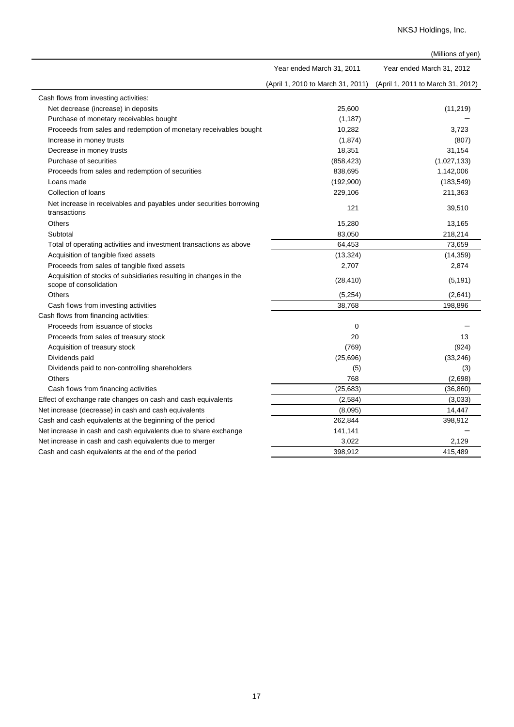|                                                                                             |                                   | (Millions of yen)                 |
|---------------------------------------------------------------------------------------------|-----------------------------------|-----------------------------------|
|                                                                                             | Year ended March 31, 2011         | Year ended March 31, 2012         |
|                                                                                             | (April 1, 2010 to March 31, 2011) | (April 1, 2011 to March 31, 2012) |
| Cash flows from investing activities:                                                       |                                   |                                   |
| Net decrease (increase) in deposits                                                         | 25,600                            | (11, 219)                         |
| Purchase of monetary receivables bought                                                     | (1, 187)                          |                                   |
| Proceeds from sales and redemption of monetary receivables bought                           | 10,282                            | 3,723                             |
| Increase in money trusts                                                                    | (1,874)                           | (807)                             |
| Decrease in money trusts                                                                    | 18,351                            | 31,154                            |
| Purchase of securities                                                                      | (858, 423)                        | (1,027,133)                       |
| Proceeds from sales and redemption of securities                                            | 838,695                           | 1,142,006                         |
| Loans made                                                                                  | (192,900)                         | (183, 549)                        |
| Collection of loans                                                                         | 229,106                           | 211,363                           |
| Net increase in receivables and payables under securities borrowing<br>transactions         | 121                               | 39,510                            |
| Others                                                                                      | 15,280                            | 13,165                            |
| Subtotal                                                                                    | 83,050                            | 218,214                           |
| Total of operating activities and investment transactions as above                          | 64,453                            | 73,659                            |
| Acquisition of tangible fixed assets                                                        | (13, 324)                         | (14, 359)                         |
| Proceeds from sales of tangible fixed assets                                                | 2,707                             | 2,874                             |
| Acquisition of stocks of subsidiaries resulting in changes in the<br>scope of consolidation | (28, 410)                         | (5, 191)                          |
| <b>Others</b>                                                                               | (5,254)                           | (2,641)                           |
| Cash flows from investing activities                                                        | 38,768                            | 198,896                           |
| Cash flows from financing activities:                                                       |                                   |                                   |
| Proceeds from issuance of stocks                                                            | $\Omega$                          |                                   |
| Proceeds from sales of treasury stock                                                       | 20                                | 13                                |
| Acquisition of treasury stock                                                               | (769)                             | (924)                             |
| Dividends paid                                                                              | (25, 696)                         | (33, 246)                         |
| Dividends paid to non-controlling shareholders                                              | (5)                               | (3)                               |
| Others                                                                                      | 768                               | (2,698)                           |
| Cash flows from financing activities                                                        | (25, 683)                         | (36, 860)                         |
| Effect of exchange rate changes on cash and cash equivalents                                | (2, 584)                          | (3,033)                           |
| Net increase (decrease) in cash and cash equivalents                                        | (8,095)                           | 14,447                            |
| Cash and cash equivalents at the beginning of the period                                    | 262,844                           | 398,912                           |
| Net increase in cash and cash equivalents due to share exchange                             | 141,141                           |                                   |
| Net increase in cash and cash equivalents due to merger                                     | 3,022                             | 2,129                             |
| Cash and cash equivalents at the end of the period                                          | 398,912                           | 415.489                           |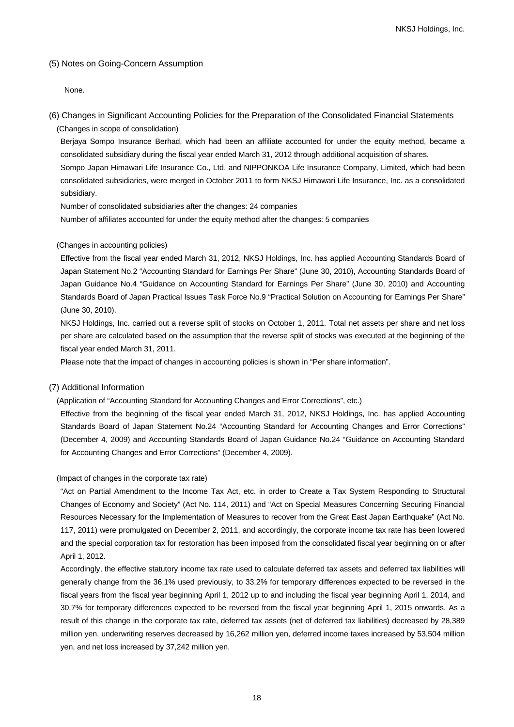## (5) Notes on Going-Concern Assumption

None.

(6) Changes in Significant Accounting Policies for the Preparation of the Consolidated Financial Statements (Changes in scope of consolidation)

Berjaya Sompo Insurance Berhad, which had been an affiliate accounted for under the equity method, became a consolidated subsidiary during the fiscal year ended March 31, 2012 through additional acquisition of shares. Sompo Japan Himawari Life Insurance Co., Ltd. and NIPPONKOA Life Insurance Company, Limited, which had been

consolidated subsidiaries, were merged in October 2011 to form NKSJ Himawari Life Insurance, Inc. as a consolidated subsidiary.

Number of consolidated subsidiaries after the changes: 24 companies

Number of affiliates accounted for under the equity method after the changes: 5 companies

### (Changes in accounting policies)

Effective from the fiscal year ended March 31, 2012, NKSJ Holdings, Inc. has applied Accounting Standards Board of Japan Statement No.2 "Accounting Standard for Earnings Per Share" (June 30, 2010), Accounting Standards Board of Japan Guidance No.4 "Guidance on Accounting Standard for Earnings Per Share" (June 30, 2010) and Accounting Standards Board of Japan Practical Issues Task Force No.9 "Practical Solution on Accounting for Earnings Per Share" (June 30, 2010).

NKSJ Holdings, Inc. carried out a reverse split of stocks on October 1, 2011. Total net assets per share and net loss per share are calculated based on the assumption that the reverse split of stocks was executed at the beginning of the fiscal year ended March 31, 2011.

Please note that the impact of changes in accounting policies is shown in "Per share information".

#### (7) Additional Information

(Application of "Accounting Standard for Accounting Changes and Error Corrections", etc.)

Effective from the beginning of the fiscal year ended March 31, 2012, NKSJ Holdings, Inc. has applied Accounting Standards Board of Japan Statement No.24 "Accounting Standard for Accounting Changes and Error Corrections" (December 4, 2009) and Accounting Standards Board of Japan Guidance No.24 "Guidance on Accounting Standard for Accounting Changes and Error Corrections" (December 4, 2009).

(Impact of changes in the corporate tax rate)

"Act on Partial Amendment to the Income Tax Act, etc. in order to Create a Tax System Responding to Structural Changes of Economy and Society" (Act No. 114, 2011) and "Act on Special Measures Concerning Securing Financial Resources Necessary for the Implementation of Measures to recover from the Great East Japan Earthquake" (Act No. 117, 2011) were promulgated on December 2, 2011, and accordingly, the corporate income tax rate has been lowered and the special corporation tax for restoration has been imposed from the consolidated fiscal year beginning on or after April 1, 2012.

Accordingly, the effective statutory income tax rate used to calculate deferred tax assets and deferred tax liabilities will generally change from the 36.1% used previously, to 33.2% for temporary differences expected to be reversed in the fiscal years from the fiscal year beginning April 1, 2012 up to and including the fiscal year beginning April 1, 2014, and 30.7% for temporary differences expected to be reversed from the fiscal year beginning April 1, 2015 onwards. As a result of this change in the corporate tax rate, deferred tax assets (net of deferred tax liabilities) decreased by 28,389 million yen, underwriting reserves decreased by 16,262 million yen, deferred income taxes increased by 53,504 million yen, and net loss increased by 37,242 million yen.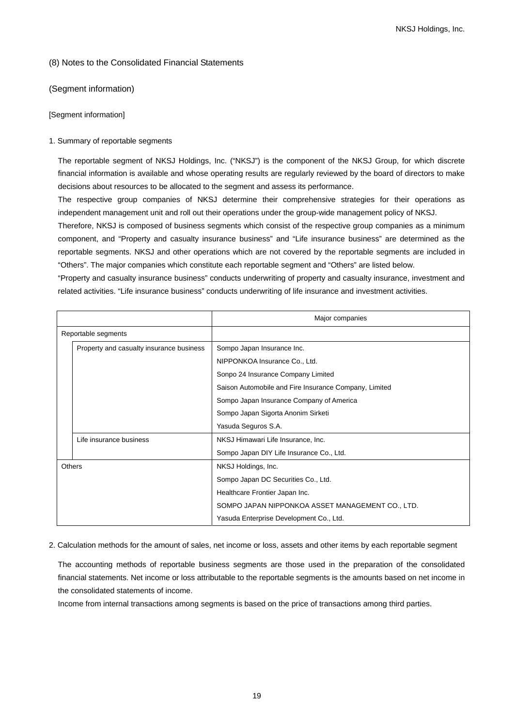### (8) Notes to the Consolidated Financial Statements

(Segment information)

### [Segment information]

### 1. Summary of reportable segments

The reportable segment of NKSJ Holdings, Inc. ("NKSJ") is the component of the NKSJ Group, for which discrete financial information is available and whose operating results are regularly reviewed by the board of directors to make decisions about resources to be allocated to the segment and assess its performance.

The respective group companies of NKSJ determine their comprehensive strategies for their operations as independent management unit and roll out their operations under the group-wide management policy of NKSJ.

Therefore, NKSJ is composed of business segments which consist of the respective group companies as a minimum component, and "Property and casualty insurance business" and "Life insurance business" are determined as the reportable segments. NKSJ and other operations which are not covered by the reportable segments are included in "Others". The major companies which constitute each reportable segment and "Others" are listed below.

"Property and casualty insurance business" conducts underwriting of property and casualty insurance, investment and related activities. "Life insurance business" conducts underwriting of life insurance and investment activities.

|        |                                          | Major companies                                       |
|--------|------------------------------------------|-------------------------------------------------------|
|        | Reportable segments                      |                                                       |
|        | Property and casualty insurance business | Sompo Japan Insurance Inc.                            |
|        |                                          | NIPPONKOA Insurance Co., Ltd.                         |
|        |                                          | Sonpo 24 Insurance Company Limited                    |
|        |                                          | Saison Automobile and Fire Insurance Company, Limited |
|        |                                          | Sompo Japan Insurance Company of America              |
|        |                                          | Sompo Japan Sigorta Anonim Sirketi                    |
|        |                                          | Yasuda Seguros S.A.                                   |
|        | Life insurance business                  | NKSJ Himawari Life Insurance, Inc.                    |
|        |                                          | Sompo Japan DIY Life Insurance Co., Ltd.              |
| Others |                                          | NKSJ Holdings, Inc.                                   |
|        |                                          | Sompo Japan DC Securities Co., Ltd.                   |
|        |                                          | Healthcare Frontier Japan Inc.                        |
|        |                                          | SOMPO JAPAN NIPPONKOA ASSET MANAGEMENT CO., LTD.      |
|        |                                          | Yasuda Enterprise Development Co., Ltd.               |

### 2. Calculation methods for the amount of sales, net income or loss, assets and other items by each reportable segment

The accounting methods of reportable business segments are those used in the preparation of the consolidated financial statements. Net income or loss attributable to the reportable segments is the amounts based on net income in the consolidated statements of income.

Income from internal transactions among segments is based on the price of transactions among third parties.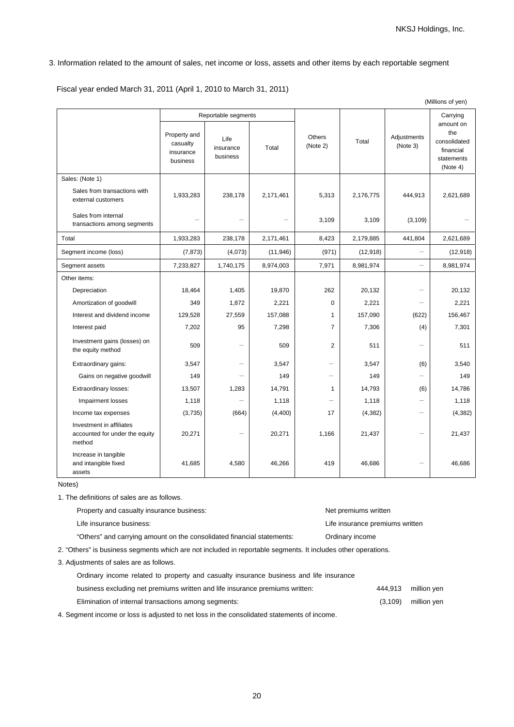# 3. Information related to the amount of sales, net income or loss, assets and other items by each reportable segment

Fiscal year ended March 31, 2011 (April 1, 2010 to March 31, 2011)

|                                                                      |                                                   |                                                      |           |                           |           |                          | (Millions of yen)                                                                   |
|----------------------------------------------------------------------|---------------------------------------------------|------------------------------------------------------|-----------|---------------------------|-----------|--------------------------|-------------------------------------------------------------------------------------|
|                                                                      | Property and<br>casualty<br>insurance<br>business | Reportable segments<br>Life<br>insurance<br>business | Total     | <b>Others</b><br>(Note 2) | Total     | Adjustments<br>(Note 3)  | Carrying<br>amount on<br>the<br>consolidated<br>financial<br>statements<br>(Note 4) |
| Sales: (Note 1)                                                      |                                                   |                                                      |           |                           |           |                          |                                                                                     |
| Sales from transactions with<br>external customers                   | 1,933,283                                         | 238,178                                              | 2,171,461 | 5,313                     | 2,176,775 | 444,913                  | 2,621,689                                                                           |
| Sales from internal<br>transactions among segments                   |                                                   |                                                      |           | 3,109                     | 3,109     | (3, 109)                 |                                                                                     |
| Total                                                                | 1,933,283                                         | 238,178                                              | 2,171,461 | 8,423                     | 2,179,885 | 441,804                  | 2,621,689                                                                           |
| Segment income (loss)                                                | (7, 873)                                          | (4,073)                                              | (11, 946) | (971)                     | (12, 918) | $\overline{\phantom{0}}$ | (12, 918)                                                                           |
| Segment assets                                                       | 7,233,827                                         | 1,740,175                                            | 8,974,003 | 7,971                     | 8,981,974 |                          | 8,981,974                                                                           |
| Other items:                                                         |                                                   |                                                      |           |                           |           |                          |                                                                                     |
| Depreciation                                                         | 18,464                                            | 1,405                                                | 19,870    | 262                       | 20,132    | $\overline{\phantom{0}}$ | 20,132                                                                              |
| Amortization of goodwill                                             | 349                                               | 1,872                                                | 2,221     | 0                         | 2,221     | $\overline{\phantom{0}}$ | 2,221                                                                               |
| Interest and dividend income                                         | 129,528                                           | 27,559                                               | 157,088   | $\mathbf{1}$              | 157,090   | (622)                    | 156,467                                                                             |
| Interest paid                                                        | 7,202                                             | 95                                                   | 7,298     | $\overline{7}$            | 7,306     | (4)                      | 7,301                                                                               |
| Investment gains (losses) on<br>the equity method                    | 509                                               |                                                      | 509       | $\overline{2}$            | 511       | $\overline{\phantom{0}}$ | 511                                                                                 |
| Extraordinary gains:                                                 | 3,547                                             | $\overline{\phantom{0}}$                             | 3,547     | $\overline{\phantom{0}}$  | 3,547     | (6)                      | 3,540                                                                               |
| Gains on negative goodwill                                           | 149                                               |                                                      | 149       | $\overline{\phantom{0}}$  | 149       | $\overline{\phantom{0}}$ | 149                                                                                 |
| Extraordinary losses:                                                | 13,507                                            | 1,283                                                | 14,791    | $\mathbf{1}$              | 14,793    | (6)                      | 14,786                                                                              |
| Impairment losses                                                    | 1,118                                             |                                                      | 1,118     |                           | 1,118     |                          | 1,118                                                                               |
| Income tax expenses                                                  | (3,735)                                           | (664)                                                | (4,400)   | 17                        | (4, 382)  | $\overline{\phantom{0}}$ | (4, 382)                                                                            |
| Investment in affiliates<br>accounted for under the equity<br>method | 20,271                                            |                                                      | 20,271    | 1,166                     | 21,437    |                          | 21,437                                                                              |
| Increase in tangible<br>and intangible fixed<br>assets               | 41,685                                            | 4,580                                                | 46,266    | 419                       | 46,686    |                          | 46,686                                                                              |

Notes)

1. The definitions of sales are as follows.

| Property and casualty insurance business:                                                                     | Net premiums written            |          |             |  |  |  |  |
|---------------------------------------------------------------------------------------------------------------|---------------------------------|----------|-------------|--|--|--|--|
| Life insurance business:                                                                                      | Life insurance premiums written |          |             |  |  |  |  |
| "Others" and carrying amount on the consolidated financial statements:                                        | Ordinary income                 |          |             |  |  |  |  |
| 2. "Others" is business segments which are not included in reportable segments. It includes other operations. |                                 |          |             |  |  |  |  |
| 3. Adjustments of sales are as follows.                                                                       |                                 |          |             |  |  |  |  |
| Ordinary income related to property and casualty insurance business and life insurance                        |                                 |          |             |  |  |  |  |
| business excluding net premiums written and life insurance premiums written:                                  |                                 | 444.913  | million yen |  |  |  |  |
| Elimination of internal transactions among segments:                                                          |                                 | (3, 109) | million yen |  |  |  |  |

4. Segment income or loss is adjusted to net loss in the consolidated statements of income.

20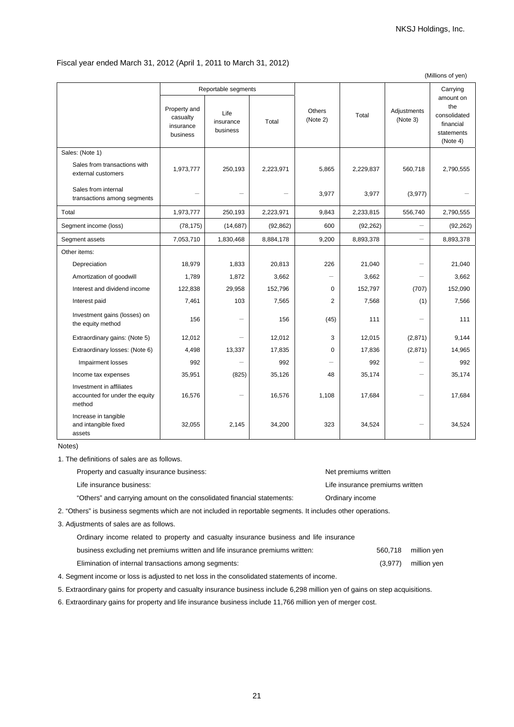### Fiscal year ended March 31, 2012 (April 1, 2011 to March 31, 2012)

|                                                                      |                                                   |                                                      |           | (Millions of yen)         |           |                          |                                                                                     |
|----------------------------------------------------------------------|---------------------------------------------------|------------------------------------------------------|-----------|---------------------------|-----------|--------------------------|-------------------------------------------------------------------------------------|
|                                                                      | Property and<br>casualty<br>insurance<br>business | Reportable segments<br>Life<br>insurance<br>business | Total     | <b>Others</b><br>(Note 2) | Total     | Adjustments<br>(Note 3)  | Carrying<br>amount on<br>the<br>consolidated<br>financial<br>statements<br>(Note 4) |
| Sales: (Note 1)                                                      |                                                   |                                                      |           |                           |           |                          |                                                                                     |
| Sales from transactions with<br>external customers                   | 1,973,777                                         | 250,193                                              | 2,223,971 | 5,865                     | 2,229,837 | 560,718                  | 2,790,555                                                                           |
| Sales from internal<br>transactions among segments                   |                                                   |                                                      |           | 3,977                     | 3,977     | (3,977)                  |                                                                                     |
| Total                                                                | 1,973,777                                         | 250,193                                              | 2,223,971 | 9,843                     | 2,233,815 | 556,740                  | 2,790,555                                                                           |
| Segment income (loss)                                                | (78, 175)                                         | (14, 687)                                            | (92, 862) | 600                       | (92, 262) | $\overline{\phantom{0}}$ | (92, 262)                                                                           |
| Segment assets                                                       | 7,053,710                                         | 1,830,468                                            | 8,884,178 | 9,200                     | 8,893,378 | $\overline{\phantom{0}}$ | 8,893,378                                                                           |
| Other items:                                                         |                                                   |                                                      |           |                           |           |                          |                                                                                     |
| Depreciation                                                         | 18,979                                            | 1,833                                                | 20,813    | 226                       | 21,040    |                          | 21,040                                                                              |
| Amortization of goodwill                                             | 1,789                                             | 1,872                                                | 3,662     | $\overline{\phantom{0}}$  | 3,662     |                          | 3,662                                                                               |
| Interest and dividend income                                         | 122,838                                           | 29,958                                               | 152,796   | $\mathbf 0$               | 152,797   | (707)                    | 152,090                                                                             |
| Interest paid                                                        | 7,461                                             | 103                                                  | 7,565     | $\overline{2}$            | 7,568     | (1)                      | 7,566                                                                               |
| Investment gains (losses) on<br>the equity method                    | 156                                               |                                                      | 156       | (45)                      | 111       |                          | 111                                                                                 |
| Extraordinary gains: (Note 5)                                        | 12,012                                            |                                                      | 12,012    | 3                         | 12,015    | (2,871)                  | 9,144                                                                               |
| Extraordinary losses: (Note 6)                                       | 4,498                                             | 13,337                                               | 17,835    | $\Omega$                  | 17,836    | (2,871)                  | 14,965                                                                              |
| Impairment losses                                                    | 992                                               |                                                      | 992       |                           | 992       |                          | 992                                                                                 |
| Income tax expenses                                                  | 35,951                                            | (825)                                                | 35,126    | 48                        | 35,174    | $\overline{\phantom{0}}$ | 35,174                                                                              |
| Investment in affiliates<br>accounted for under the equity<br>method | 16,576                                            |                                                      | 16,576    | 1,108                     | 17,684    | $\overline{\phantom{0}}$ | 17,684                                                                              |
| Increase in tangible<br>and intangible fixed<br>assets               | 32,055                                            | 2,145                                                | 34,200    | 323                       | 34,524    |                          | 34,524                                                                              |

#### Notes)

1. The definitions of sales are as follows.

| Property and casualty insurance business:                                                                     |                                                                        | Net premiums written            |  |  |  |
|---------------------------------------------------------------------------------------------------------------|------------------------------------------------------------------------|---------------------------------|--|--|--|
|                                                                                                               | Life insurance business:                                               | Life insurance premiums written |  |  |  |
|                                                                                                               | "Others" and carrying amount on the consolidated financial statements: | Ordinary income                 |  |  |  |
| 2. "Others" is business segments which are not included in reportable segments. It includes other operations. |                                                                        |                                 |  |  |  |

3. Adjustments of sales are as follows.

| Ordinary income related to property and casualty insurance business and life insurance |         |                     |
|----------------------------------------------------------------------------------------|---------|---------------------|
| business excluding net premiums written and life insurance premiums written:           |         | 560.718 million ven |
| Elimination of internal transactions among segments:                                   | (3.977) | million ven         |

4. Segment income or loss is adjusted to net loss in the consolidated statements of income.

5. Extraordinary gains for property and casualty insurance business include 6,298 million yen of gains on step acquisitions.

6. Extraordinary gains for property and life insurance business include 11,766 million yen of merger cost.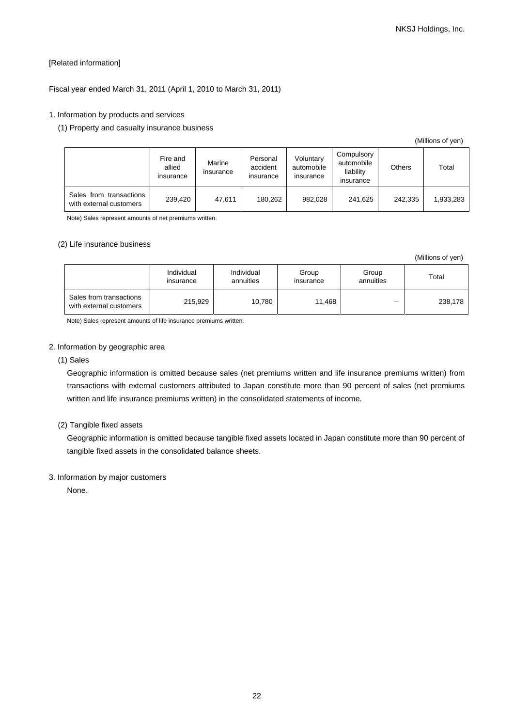# [Related information]

# Fiscal year ended March 31, 2011 (April 1, 2010 to March 31, 2011)

# 1. Information by products and services

## (1) Property and casualty insurance business

| (Millions of yen) |  |
|-------------------|--|
|                   |  |

(Millions of yen)

|                                                    | Fire and<br>allied<br>insurance | Marine<br>insurance | Personal<br>accident<br>insurance | Voluntary<br>automobile<br>insurance | Compulsory<br>automobile<br>liability<br>insurance | Others  | Total     |
|----------------------------------------------------|---------------------------------|---------------------|-----------------------------------|--------------------------------------|----------------------------------------------------|---------|-----------|
| Sales from transactions<br>with external customers | 239.420                         | 47.611              | 180.262                           | 982.028                              | 241.625                                            | 242.335 | 1,933,283 |

Note) Sales represent amounts of net premiums written.

#### (2) Life insurance business

|                                                    | Individual<br>insurance | Individual<br>annuities | Group<br>insurance | Group<br>annuities | Total   |
|----------------------------------------------------|-------------------------|-------------------------|--------------------|--------------------|---------|
| Sales from transactions<br>with external customers | 215,929                 | 10.780                  | 11.468             | —                  | 238,178 |

Note) Sales represent amounts of life insurance premiums written.

## 2. Information by geographic area

### (1) Sales

Geographic information is omitted because sales (net premiums written and life insurance premiums written) from transactions with external customers attributed to Japan constitute more than 90 percent of sales (net premiums written and life insurance premiums written) in the consolidated statements of income.

## (2) Tangible fixed assets

Geographic information is omitted because tangible fixed assets located in Japan constitute more than 90 percent of tangible fixed assets in the consolidated balance sheets.

#### 3. Information by major customers

None.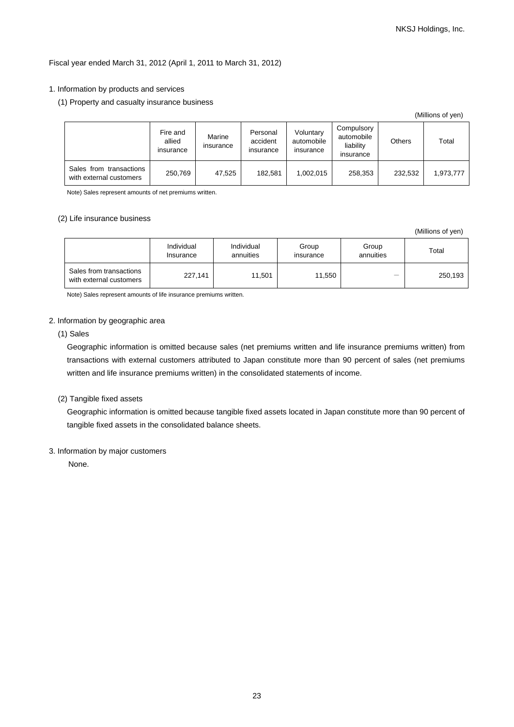## Fiscal year ended March 31, 2012 (April 1, 2011 to March 31, 2012)

### 1. Information by products and services

(1) Property and casualty insurance business

|                                                    |                                 |                     |                                   |                                      |                                                    |               | (IVIIIIIUIIS UI VEIT) |
|----------------------------------------------------|---------------------------------|---------------------|-----------------------------------|--------------------------------------|----------------------------------------------------|---------------|-----------------------|
|                                                    | Fire and<br>allied<br>insurance | Marine<br>insurance | Personal<br>accident<br>insurance | Voluntary<br>automobile<br>insurance | Compulsory<br>automobile<br>liability<br>insurance | <b>Others</b> | Total                 |
| Sales from transactions<br>with external customers | 250,769                         | 47,525              | 182.581                           | 1,002,015                            | 258.353                                            | 232,532       | 1,973,777             |

Note) Sales represent amounts of net premiums written.

### (2) Life insurance business

|                                                    | Individual<br>Insurance | Individual<br>annuities | Group<br>insurance | Group<br>annuities       | Total   |
|----------------------------------------------------|-------------------------|-------------------------|--------------------|--------------------------|---------|
| Sales from transactions<br>with external customers | 227.141                 | 11.501                  | 11.550             | $\overline{\phantom{0}}$ | 250,193 |

Note) Sales represent amounts of life insurance premiums written.

## 2. Information by geographic area

(1) Sales

Geographic information is omitted because sales (net premiums written and life insurance premiums written) from transactions with external customers attributed to Japan constitute more than 90 percent of sales (net premiums written and life insurance premiums written) in the consolidated statements of income.

#### (2) Tangible fixed assets

Geographic information is omitted because tangible fixed assets located in Japan constitute more than 90 percent of tangible fixed assets in the consolidated balance sheets.

# 3. Information by major customers

None.

 $(Millionost)$ 

(Millions of yen)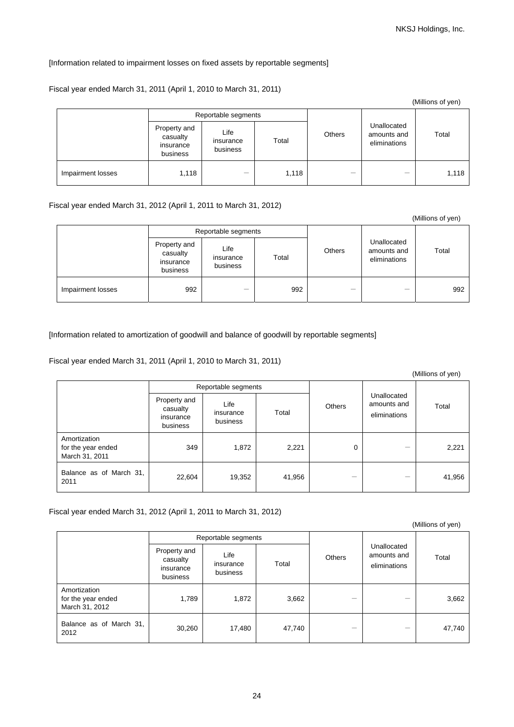# [Information related to impairment losses on fixed assets by reportable segments]

## Fiscal year ended March 31, 2011 (April 1, 2010 to March 31, 2011)

|                   |                                                   |                               |       |               |                                            | (Millions of yen) |
|-------------------|---------------------------------------------------|-------------------------------|-------|---------------|--------------------------------------------|-------------------|
|                   |                                                   | Reportable segments           |       |               |                                            |                   |
|                   | Property and<br>casualty<br>insurance<br>business | Life<br>insurance<br>business | Total | <b>Others</b> | Unallocated<br>amounts and<br>eliminations | Total             |
| Impairment losses | 1,118                                             | $\overline{\phantom{0}}$      | 1,118 |               |                                            | 1,118             |

## Fiscal year ended March 31, 2012 (April 1, 2011 to March 31, 2012)

|                   |                                                   |                               |       |               |                                            | (Millions of yen) |
|-------------------|---------------------------------------------------|-------------------------------|-------|---------------|--------------------------------------------|-------------------|
|                   |                                                   | Reportable segments           |       |               |                                            |                   |
|                   | Property and<br>casualty<br>insurance<br>business | Life<br>insurance<br>business | Total | <b>Others</b> | Unallocated<br>amounts and<br>eliminations | Total             |
| Impairment losses | 992                                               | –                             | 992   |               |                                            | 992               |

[Information related to amortization of goodwill and balance of goodwill by reportable segments]

Fiscal year ended March 31, 2011 (April 1, 2010 to March 31, 2011)

|                                                      |                                                   |                               |        |        |                                            | (Millions of yen) |
|------------------------------------------------------|---------------------------------------------------|-------------------------------|--------|--------|--------------------------------------------|-------------------|
|                                                      |                                                   | Reportable segments           |        |        |                                            |                   |
|                                                      | Property and<br>casualty<br>insurance<br>business | Life<br>insurance<br>business | Total  | Others | Unallocated<br>amounts and<br>eliminations | Total             |
| Amortization<br>for the year ended<br>March 31, 2011 | 349                                               | 1,872                         | 2,221  | 0      |                                            | 2,221             |
| Balance as of March 31,<br>2011                      | 22,604                                            | 19,352                        | 41,956 |        |                                            | 41,956            |

Fiscal year ended March 31, 2012 (April 1, 2011 to March 31, 2012)

|                                                      |                                                   | Reportable segments           |        |               |                                            |        |  |
|------------------------------------------------------|---------------------------------------------------|-------------------------------|--------|---------------|--------------------------------------------|--------|--|
|                                                      | Property and<br>casualty<br>insurance<br>business | Life<br>insurance<br>business | Total  | <b>Others</b> | Unallocated<br>amounts and<br>eliminations | Total  |  |
| Amortization<br>for the year ended<br>March 31, 2012 | 1,789                                             | 1,872                         | 3,662  |               |                                            | 3,662  |  |
| Balance as of March 31,<br>2012                      | 30,260                                            | 17,480                        | 47,740 | –             |                                            | 47,740 |  |

24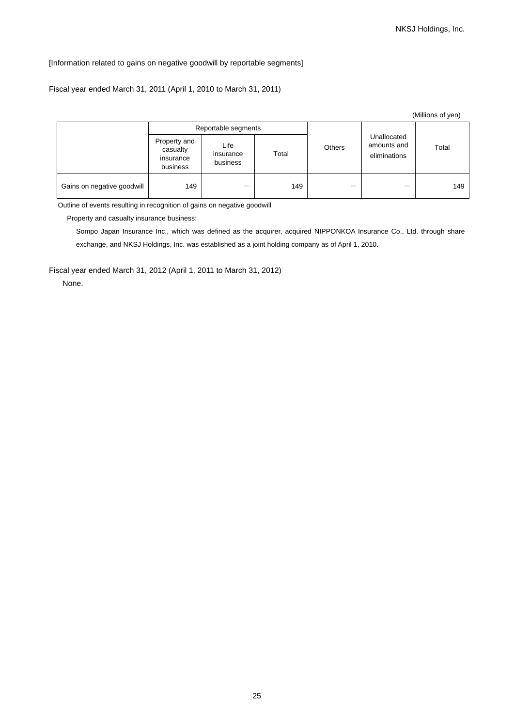## [Information related to gains on negative goodwill by reportable segments]

## Fiscal year ended March 31, 2011 (April 1, 2010 to March 31, 2011)

|                            |                                                   |                               |                        |  |                                            | (Millions of yen) |  |
|----------------------------|---------------------------------------------------|-------------------------------|------------------------|--|--------------------------------------------|-------------------|--|
|                            |                                                   | Reportable segments           |                        |  |                                            |                   |  |
|                            | Property and<br>casualty<br>insurance<br>business | Life<br>insurance<br>business | <b>Others</b><br>Total |  | Unallocated<br>amounts and<br>eliminations | Total             |  |
| Gains on negative goodwill | 149                                               | –                             | 149                    |  |                                            | 149               |  |

Outline of events resulting in recognition of gains on negative goodwill

Property and casualty insurance business:

Sompo Japan Insurance Inc., which was defined as the acquirer, acquired NIPPONKOA Insurance Co., Ltd. through share exchange, and NKSJ Holdings, Inc. was established as a joint holding company as of April 1, 2010.

Fiscal year ended March 31, 2012 (April 1, 2011 to March 31, 2012)

None.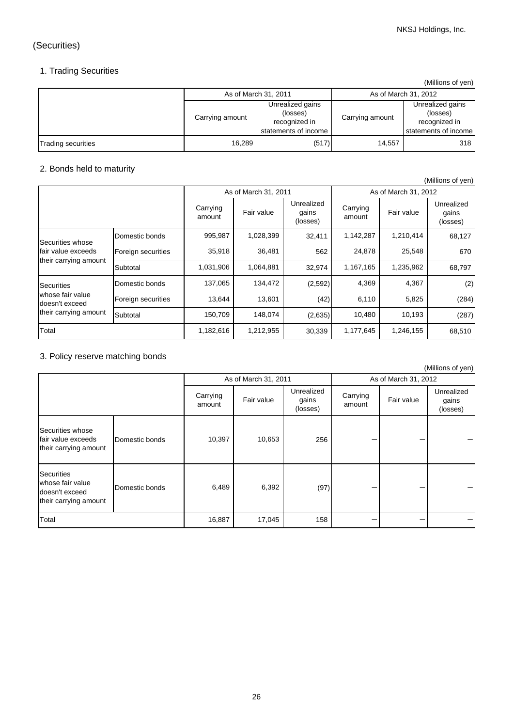# (Securities)

# 1. Trading Securities

(Millions of yen)

|                           | As of March 31, 2011 |                                                                       |                 | As of March 31, 2012                                                  |
|---------------------------|----------------------|-----------------------------------------------------------------------|-----------------|-----------------------------------------------------------------------|
|                           | Carrying amount      | Unrealized gains<br>(losses)<br>recognized in<br>statements of income | Carrying amount | Unrealized gains<br>(losses)<br>recognized in<br>statements of income |
| <b>Trading securities</b> | 16,289               | (517)                                                                 | 14,557          | 318                                                                   |

# 2. Bonds held to maturity

|                                    |                    |                    |                      |                                 |                      |            | (Millions of yen)               |
|------------------------------------|--------------------|--------------------|----------------------|---------------------------------|----------------------|------------|---------------------------------|
|                                    |                    |                    | As of March 31, 2011 |                                 | As of March 31, 2012 |            |                                 |
|                                    |                    | Carrying<br>amount | Fair value           | Unrealized<br>gains<br>(losses) | Carrying<br>amount   | Fair value | Unrealized<br>gains<br>(losses) |
| Securities whose                   | Domestic bonds     | 995,987            | 1,028,399            | 32,411                          | 1,142,287            | 1,210,414  | 68,127                          |
| fair value exceeds                 | Foreign securities | 35,918             | 36,481               | 562                             | 24,878               | 25,548     | 670                             |
| their carrying amount              | Subtotal           | 1,031,906          | 1,064,881            | 32,974                          | 1,167,165            | 1,235,962  | 68,797                          |
| <b>Securities</b>                  | Domestic bonds     | 137,065            | 134,472              | (2,592)                         | 4,369                | 4,367      | (2)                             |
| whose fair value<br>doesn't exceed | Foreign securities | 13,644             | 13,601               | (42)                            | 6,110                | 5,825      | (284)                           |
| their carrying amount              | Subtotal           | 150,709            | 148,074              | (2,635)                         | 10,480               | 10,193     | (287)                           |
| Total                              |                    | 1,182,616          | 1,212,955            | 30,339                          | 1,177,645            | 1,246,155  | 68,510                          |

# 3. Policy reserve matching bonds

|                                                                                  |                    |            |                                 |                    |                      |                                 | (Millions of yen) |
|----------------------------------------------------------------------------------|--------------------|------------|---------------------------------|--------------------|----------------------|---------------------------------|-------------------|
|                                                                                  |                    |            | As of March 31, 2011            |                    | As of March 31, 2012 |                                 |                   |
|                                                                                  | Carrying<br>amount | Fair value | Unrealized<br>gains<br>(losses) | Carrying<br>amount | Fair value           | Unrealized<br>gains<br>(losses) |                   |
| Securities whose<br>fair value exceeds<br>their carrying amount                  | Domestic bonds     | 10,397     | 10,653                          | 256                |                      |                                 |                   |
| <b>Securities</b><br>whose fair value<br>doesn't exceed<br>their carrying amount | Domestic bonds     | 6,489      | 6,392                           | (97)               |                      |                                 |                   |
| Total                                                                            |                    | 16,887     | 17,045                          | 158                |                      |                                 |                   |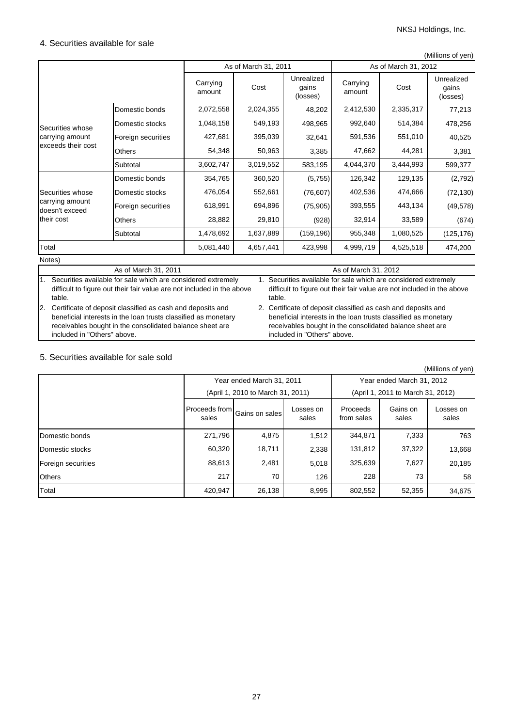# 4. Securities available for sale

|                                   |                    |                    |                      |                                 |                      |           | (Millions of yen)               |
|-----------------------------------|--------------------|--------------------|----------------------|---------------------------------|----------------------|-----------|---------------------------------|
|                                   |                    |                    | As of March 31, 2011 |                                 | As of March 31, 2012 |           |                                 |
|                                   |                    | Carrying<br>amount | Cost                 | Unrealized<br>gains<br>(losses) | Carrying<br>amount   | Cost      | Unrealized<br>gains<br>(losses) |
|                                   | Domestic bonds     | 2,072,558          | 2,024,355            | 48,202                          | 2,412,530            | 2,335,317 | 77,213                          |
| Securities whose                  | Domestic stocks    | 1,048,158          | 549,193              | 498,965                         | 992,640              | 514,384   | 478,256                         |
| carrying amount                   | Foreign securities | 427,681            | 395,039              | 32,641                          | 591,536              | 551,010   | 40,525                          |
| exceeds their cost                | <b>Others</b>      | 54,348             | 50,963               | 3,385                           | 47,662               | 44,281    | 3,381                           |
|                                   | Subtotal           | 3,602,747          | 3,019,552            | 583,195                         | 4,044,370            | 3,444,993 | 599,377                         |
|                                   | Domestic bonds     | 354,765            | 360,520              | (5,755)                         | 126,342              | 129,135   | (2,792)                         |
| Securities whose                  | Domestic stocks    | 476,054            | 552,661              | (76, 607)                       | 402,536              | 474,666   | (72, 130)                       |
| carrying amount<br>doesn't exceed | Foreign securities | 618,991            | 694,896              | (75, 905)                       | 393,555              | 443,134   | (49, 578)                       |
| their cost                        | Others             | 28,882             | 29,810               | (928)                           | 32,914               | 33,589    | (674)                           |
|                                   | Subtotal           | 1,478,692          | 1,637,889            | (159, 196)                      | 955,348              | 1,080,525 | (125, 176)                      |
| Total                             |                    | 5,081,440          | 4,657,441            | 423,998                         | 4,999,719            | 4,525,518 | 474,200                         |
| Notes)                            |                    |                    |                      |                                 |                      |           |                                 |

|    | As of March 31, 2011                                                                                                                                                                                                       | As of March 31, 2012                                                                                                                                                                                                       |
|----|----------------------------------------------------------------------------------------------------------------------------------------------------------------------------------------------------------------------------|----------------------------------------------------------------------------------------------------------------------------------------------------------------------------------------------------------------------------|
| 1. | Securities available for sale which are considered extremely<br>difficult to figure out their fair value are not included in the above<br>table.                                                                           | 1. Securities available for sale which are considered extremely<br>difficult to figure out their fair value are not included in the above<br>table.                                                                        |
|    | 2. Certificate of deposit classified as cash and deposits and<br>beneficial interests in the loan trusts classified as monetary<br>receivables bought in the consolidated balance sheet are<br>included in "Others" above. | 2. Certificate of deposit classified as cash and deposits and<br>beneficial interests in the loan trusts classified as monetary<br>receivables bought in the consolidated balance sheet are<br>included in "Others" above. |

# 5. Securities available for sale sold

|                    |         |                                   |                    |                           |                                   | (Millions of yen)  |
|--------------------|---------|-----------------------------------|--------------------|---------------------------|-----------------------------------|--------------------|
|                    |         | Year ended March 31, 2011         |                    | Year ended March 31, 2012 |                                   |                    |
|                    |         | (April 1, 2010 to March 31, 2011) |                    |                           | (April 1, 2011 to March 31, 2012) |                    |
|                    | sales   | [Proceeds from Gains on sales]    | Losses on<br>sales | Proceeds<br>from sales    | Gains on<br>sales                 | Losses on<br>sales |
| Domestic bonds     | 271,796 | 4,875                             | 1,512              | 344,871                   | 7,333                             | 763                |
| Domestic stocks    | 60.320  | 18,711                            | 2,338              | 131,812                   | 37,322                            | 13,668             |
| Foreign securities | 88,613  | 2,481                             | 5,018              | 325,639                   | 7,627                             | 20,185             |
| <b>Others</b>      | 217     | 70                                | 126                | 228                       | 73                                | 58                 |
| Total              | 420,947 | 26,138                            | 8,995              | 802,552                   | 52,355                            | 34,675             |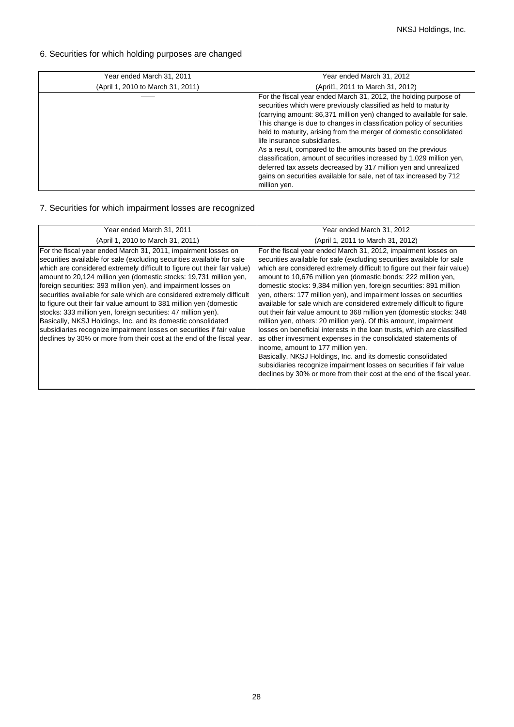# 6. Securities for which holding purposes are changed

| Year ended March 31, 2011         | Year ended March 31, 2012                                                                                                                                                                                                                                                                                                                                                                                                                                                                                                                                                                                                                                                                 |
|-----------------------------------|-------------------------------------------------------------------------------------------------------------------------------------------------------------------------------------------------------------------------------------------------------------------------------------------------------------------------------------------------------------------------------------------------------------------------------------------------------------------------------------------------------------------------------------------------------------------------------------------------------------------------------------------------------------------------------------------|
| (April 1, 2010 to March 31, 2011) | (April1, 2011 to March 31, 2012)                                                                                                                                                                                                                                                                                                                                                                                                                                                                                                                                                                                                                                                          |
|                                   | For the fiscal year ended March 31, 2012, the holding purpose of<br>securities which were previously classified as held to maturity<br>(carrying amount: 86,371 million yen) changed to available for sale.<br>This change is due to changes in classification policy of securities<br>held to maturity, arising from the merger of domestic consolidated<br>life insurance subsidiaries.<br>As a result, compared to the amounts based on the previous<br>classification, amount of securities increased by 1,029 million yen,<br>deferred tax assets decreased by 317 million yen and unrealized<br>gains on securities available for sale, net of tax increased by 712<br>million yen. |

# 7. Securities for which impairment losses are recognized

| Year ended March 31, 2011                                                                                                                                                                                                                                                                                                                                                                                                                                                                                                                                                                                                                                                                                                                                                                       | Year ended March 31, 2012                                                                                                                                                                                                                                                                                                                                                                                                                                                                                                                                                                                                                                                                                                                                                                                                                                                                                                                                                                                                                                     |
|-------------------------------------------------------------------------------------------------------------------------------------------------------------------------------------------------------------------------------------------------------------------------------------------------------------------------------------------------------------------------------------------------------------------------------------------------------------------------------------------------------------------------------------------------------------------------------------------------------------------------------------------------------------------------------------------------------------------------------------------------------------------------------------------------|---------------------------------------------------------------------------------------------------------------------------------------------------------------------------------------------------------------------------------------------------------------------------------------------------------------------------------------------------------------------------------------------------------------------------------------------------------------------------------------------------------------------------------------------------------------------------------------------------------------------------------------------------------------------------------------------------------------------------------------------------------------------------------------------------------------------------------------------------------------------------------------------------------------------------------------------------------------------------------------------------------------------------------------------------------------|
| (April 1, 2010 to March 31, 2011)                                                                                                                                                                                                                                                                                                                                                                                                                                                                                                                                                                                                                                                                                                                                                               | (April 1, 2011 to March 31, 2012)                                                                                                                                                                                                                                                                                                                                                                                                                                                                                                                                                                                                                                                                                                                                                                                                                                                                                                                                                                                                                             |
| For the fiscal year ended March 31, 2011, impairment losses on<br>securities available for sale (excluding securities available for sale<br>which are considered extremely difficult to figure out their fair value)<br>amount to 20,124 million yen (domestic stocks: 19,731 million yen,<br>foreign securities: 393 million yen), and impairment losses on<br>securities available for sale which are considered extremely difficult<br>to figure out their fair value amount to 381 million yen (domestic<br>stocks: 333 million yen, foreign securities: 47 million yen).<br>Basically, NKSJ Holdings, Inc. and its domestic consolidated<br>subsidiaries recognize impairment losses on securities if fair value<br>declines by 30% or more from their cost at the end of the fiscal year. | For the fiscal year ended March 31, 2012, impairment losses on<br>securities available for sale (excluding securities available for sale<br>which are considered extremely difficult to figure out their fair value)<br>amount to 10,676 million yen (domestic bonds: 222 million yen,<br>domestic stocks: 9,384 million yen, foreign securities: 891 million<br>yen, others: 177 million yen), and impairment losses on securities<br>available for sale which are considered extremely difficult to figure<br>out their fair value amount to 368 million yen (domestic stocks: 348<br>million yen, others: 20 million yen). Of this amount, impairment<br>losses on beneficial interests in the loan trusts, which are classified<br>as other investment expenses in the consolidated statements of<br>income, amount to 177 million yen.<br>Basically, NKSJ Holdings, Inc. and its domestic consolidated<br>subsidiaries recognize impairment losses on securities if fair value<br>declines by 30% or more from their cost at the end of the fiscal year. |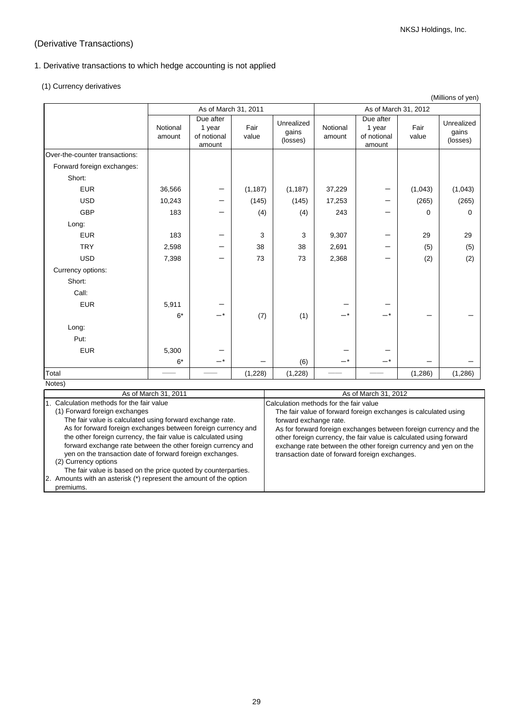# (Derivative Transactions)

# 1. Derivative transactions to which hedge accounting is not applied

(1) Currency derivatives

|                                                          |                    | As of March 31, 2011                         |               |                                        |                    | As of March 31, 2012                         |               |                                 |
|----------------------------------------------------------|--------------------|----------------------------------------------|---------------|----------------------------------------|--------------------|----------------------------------------------|---------------|---------------------------------|
|                                                          | Notional<br>amount | Due after<br>1 year<br>of notional<br>amount | Fair<br>value | Unrealized<br>gains<br>(losses)        | Notional<br>amount | Due after<br>1 year<br>of notional<br>amount | Fair<br>value | Unrealized<br>gains<br>(losses) |
| Over-the-counter transactions:                           |                    |                                              |               |                                        |                    |                                              |               |                                 |
| Forward foreign exchanges:                               |                    |                                              |               |                                        |                    |                                              |               |                                 |
| Short:                                                   |                    |                                              |               |                                        |                    |                                              |               |                                 |
| <b>EUR</b>                                               | 36,566             | —                                            | (1, 187)      | (1, 187)                               | 37,229             |                                              | (1,043)       | (1,043)                         |
| <b>USD</b>                                               | 10,243             |                                              | (145)         | (145)                                  | 17,253             |                                              | (265)         | (265)                           |
| <b>GBP</b>                                               | 183                |                                              | (4)           | (4)                                    | 243                |                                              | 0             | 0                               |
| Long:                                                    |                    |                                              |               |                                        |                    |                                              |               |                                 |
| <b>EUR</b>                                               | 183                |                                              | 3             | 3                                      | 9,307              |                                              | 29            | 29                              |
| <b>TRY</b>                                               | 2,598              |                                              | 38            | 38                                     | 2,691              |                                              | (5)           | (5)                             |
| <b>USD</b>                                               | 7,398              |                                              | 73            | 73                                     | 2,368              |                                              | (2)           | (2)                             |
| Currency options:                                        |                    |                                              |               |                                        |                    |                                              |               |                                 |
| Short:                                                   |                    |                                              |               |                                        |                    |                                              |               |                                 |
| Call:                                                    |                    |                                              |               |                                        |                    |                                              |               |                                 |
| <b>EUR</b>                                               | 5,911              |                                              |               |                                        |                    |                                              |               |                                 |
|                                                          | $6*$               | $-^{\,*}$                                    | (7)           | (1)                                    | _*                 | $-*$                                         |               |                                 |
| Long:                                                    |                    |                                              |               |                                        |                    |                                              |               |                                 |
| Put:                                                     |                    |                                              |               |                                        |                    |                                              |               |                                 |
| <b>EUR</b>                                               | 5,300              |                                              |               |                                        |                    |                                              |               |                                 |
|                                                          | $6*$               | -*                                           |               | (6)                                    | _*                 |                                              |               |                                 |
| Total                                                    |                    |                                              | (1,228)       | (1,228)                                |                    |                                              | (1,286)       | (1,286)                         |
| Notes)                                                   |                    |                                              |               |                                        |                    |                                              |               |                                 |
| As of March 31, 2011                                     |                    |                                              |               |                                        |                    | As of March 31, 2012                         |               |                                 |
| $\overline{1}$<br>Calculation mothods for the fair value |                    |                                              |               | Calculation mothode for the fair value |                    |                                              |               |                                 |

| 1. Calculation methods for the fair value                          | Calculation methods for the fair value                             |
|--------------------------------------------------------------------|--------------------------------------------------------------------|
| (1) Forward foreign exchanges                                      | The fair value of forward foreign exchanges is calculated using    |
| The fair value is calculated using forward exchange rate.          | forward exchange rate.                                             |
| As for forward foreign exchanges between foreign currency and      | As for forward foreign exchanges between foreign currency and the  |
| the other foreign currency, the fair value is calculated using     | other foreign currency, the fair value is calculated using forward |
| forward exchange rate between the other foreign currency and       | exchange rate between the other foreign currency and yen on the    |
| yen on the transaction date of forward foreign exchanges.          | transaction date of forward foreign exchanges.                     |
| (2) Currency options                                               |                                                                    |
| The fair value is based on the price quoted by counterparties.     |                                                                    |
| 2. Amounts with an asterisk (*) represent the amount of the option |                                                                    |
| premiums.                                                          |                                                                    |

(Millions of yen)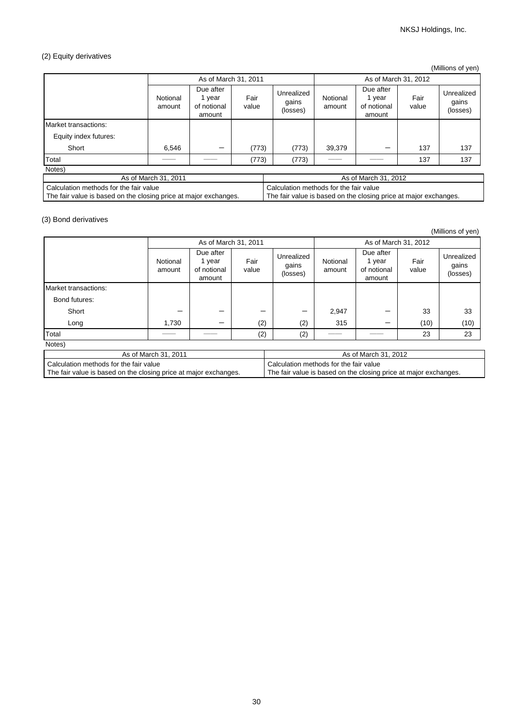# (2) Equity derivatives

(Millions of yen)

|                       | As of March 31, 2011 |                                              |               | As of March 31, 2012            |                     |                                            |               |                                 |
|-----------------------|----------------------|----------------------------------------------|---------------|---------------------------------|---------------------|--------------------------------------------|---------------|---------------------------------|
|                       | Notional<br>amount   | Due after<br>1 year<br>of notional<br>amount | Fair<br>value | Unrealized<br>gains<br>(losses) | Notional<br>amount  | Due after<br>year<br>of notional<br>amount | Fair<br>value | Unrealized<br>gains<br>(losses) |
| Market transactions:  |                      |                                              |               |                                 |                     |                                            |               |                                 |
| Equity index futures: |                      |                                              |               |                                 |                     |                                            |               |                                 |
| Short                 | 6,546                | —                                            | (773)         | (773)                           | 39,379              |                                            | 137           | 137                             |
| Total                 |                      |                                              | (773)         | (773)                           | <u> a shekara t</u> |                                            | 137           | 137                             |
| Notes)                |                      |                                              |               |                                 |                     |                                            |               |                                 |

| As of March 31, 2011                                             | As of March 31, 2012                                             |
|------------------------------------------------------------------|------------------------------------------------------------------|
| l Calculation methods for the fair value                         | Calculation methods for the fair value                           |
| The fair value is based on the closing price at major exchanges. | The fair value is based on the closing price at major exchanges. |

## (3) Bond derivatives

|                                                                  |                    |                                              |                                        |                                                                  |                    |                                              |               | (Millions of yen)               |
|------------------------------------------------------------------|--------------------|----------------------------------------------|----------------------------------------|------------------------------------------------------------------|--------------------|----------------------------------------------|---------------|---------------------------------|
|                                                                  |                    | As of March 31, 2011                         |                                        |                                                                  |                    | As of March 31, 2012                         |               |                                 |
|                                                                  | Notional<br>amount | Due after<br>1 year<br>of notional<br>amount | Fair<br>value                          | Unrealized<br>gains<br>(losses)                                  | Notional<br>amount | Due after<br>1 year<br>of notional<br>amount | Fair<br>value | Unrealized<br>gains<br>(losses) |
| Market transactions:                                             |                    |                                              |                                        |                                                                  |                    |                                              |               |                                 |
| Bond futures:                                                    |                    |                                              |                                        |                                                                  |                    |                                              |               |                                 |
| Short                                                            |                    |                                              |                                        |                                                                  | 2,947              |                                              | 33            | 33                              |
| Long                                                             | 1,730              | —                                            | (2)                                    | (2)                                                              | 315                |                                              | (10)          | (10)                            |
| Total                                                            |                    |                                              | (2)                                    | (2)                                                              |                    |                                              | 23            | 23                              |
| Notes)                                                           |                    |                                              |                                        |                                                                  |                    |                                              |               |                                 |
| As of March 31, 2011                                             |                    |                                              |                                        | As of March 31, 2012                                             |                    |                                              |               |                                 |
| Calculation methods for the fair value                           |                    |                                              | Calculation methods for the fair value |                                                                  |                    |                                              |               |                                 |
| The fair value is based on the closing price at major exchanges. |                    |                                              |                                        | The fair value is based on the closing price at major exchanges. |                    |                                              |               |                                 |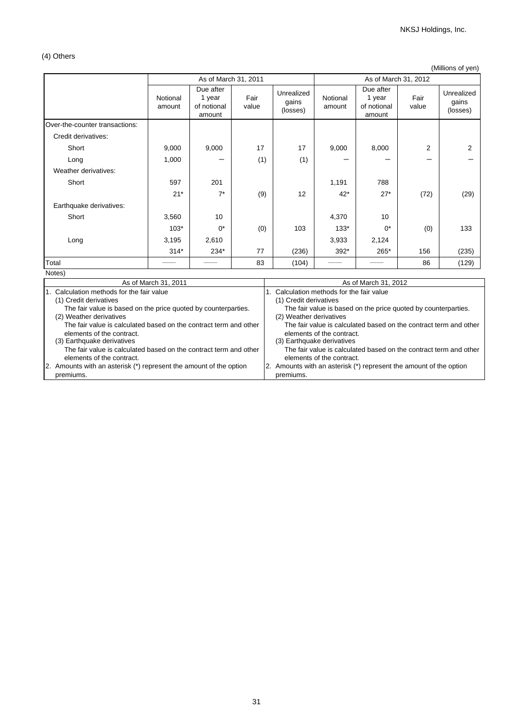# (4) Others

(Millions of yen)

|                                                                                           |                      | As of March 31, 2011                         |               | As of March 31, 2012                                                                      |                                                         |                                                                   |               |                                 |
|-------------------------------------------------------------------------------------------|----------------------|----------------------------------------------|---------------|-------------------------------------------------------------------------------------------|---------------------------------------------------------|-------------------------------------------------------------------|---------------|---------------------------------|
|                                                                                           | Notional<br>amount   | Due after<br>1 year<br>of notional<br>amount | Fair<br>value | Unrealized<br>gains<br>(losses)                                                           | Notional<br>amount                                      | Due after<br>1 year<br>of notional<br>amount                      | Fair<br>value | Unrealized<br>gains<br>(losses) |
| Over-the-counter transactions:                                                            |                      |                                              |               |                                                                                           |                                                         |                                                                   |               |                                 |
| Credit derivatives:                                                                       |                      |                                              |               |                                                                                           |                                                         |                                                                   |               |                                 |
| Short                                                                                     | 9,000                | 9,000                                        | 17            | 17                                                                                        | 9,000                                                   | 8,000                                                             | 2             | 2                               |
| Long                                                                                      | 1,000                |                                              | (1)           | (1)                                                                                       |                                                         |                                                                   |               |                                 |
| Weather derivatives:                                                                      |                      |                                              |               |                                                                                           |                                                         |                                                                   |               |                                 |
| Short                                                                                     | 597                  | 201                                          |               |                                                                                           | 1,191                                                   | 788                                                               |               |                                 |
|                                                                                           | $21*$                | $7^*$                                        | (9)           | 12                                                                                        | $42*$                                                   | $27*$                                                             | (72)          | (29)                            |
| Earthquake derivatives:                                                                   |                      |                                              |               |                                                                                           |                                                         |                                                                   |               |                                 |
| Short                                                                                     | 3,560                | 10                                           |               |                                                                                           | 4,370                                                   | 10                                                                |               |                                 |
|                                                                                           | $103*$               | $0^*$                                        | (0)           | 103                                                                                       | $133*$                                                  | $0^*$                                                             | (0)           | 133                             |
| Long                                                                                      | 3,195                | 2,610                                        |               |                                                                                           | 3,933                                                   | 2,124                                                             |               |                                 |
|                                                                                           | $314*$               | 234*                                         | 77            | (236)                                                                                     | 392*                                                    | 265*                                                              | 156           | (235)                           |
| Total                                                                                     |                      |                                              | 83            | (104)                                                                                     |                                                         |                                                                   | 86            | (129)                           |
| Notes)                                                                                    |                      |                                              |               |                                                                                           |                                                         |                                                                   |               |                                 |
|                                                                                           | As of March 31, 2011 |                                              |               |                                                                                           |                                                         | As of March 31, 2012                                              |               |                                 |
| 1. Calculation methods for the fair value<br>(1) Credit derivatives                       |                      |                                              |               | 1. Calculation methods for the fair value<br>(1) Credit derivatives                       |                                                         |                                                                   |               |                                 |
| The fair value is based on the price quoted by counterparties.<br>(2) Weather derivatives |                      |                                              |               | The fair value is based on the price quoted by counterparties.<br>(2) Weather derivatives |                                                         |                                                                   |               |                                 |
| The fair value is calculated based on the contract term and other                         |                      |                                              |               |                                                                                           |                                                         | The fair value is calculated based on the contract term and other |               |                                 |
| elements of the contract.<br>(3) Earthquake derivatives                                   |                      |                                              |               |                                                                                           | elements of the contract.<br>(3) Earthquake derivatives |                                                                   |               |                                 |
| The fair value is calculated based on the contract term and other                         |                      |                                              |               | The fair value is calculated based on the contract term and other                         |                                                         |                                                                   |               |                                 |
| elements of the contract.                                                                 |                      |                                              |               | elements of the contract.                                                                 |                                                         |                                                                   |               |                                 |
| 2. Amounts with an asterisk (*) represent the amount of the option<br>premiums.           |                      |                                              |               | 2. Amounts with an asterisk (*) represent the amount of the option<br>premiums.           |                                                         |                                                                   |               |                                 |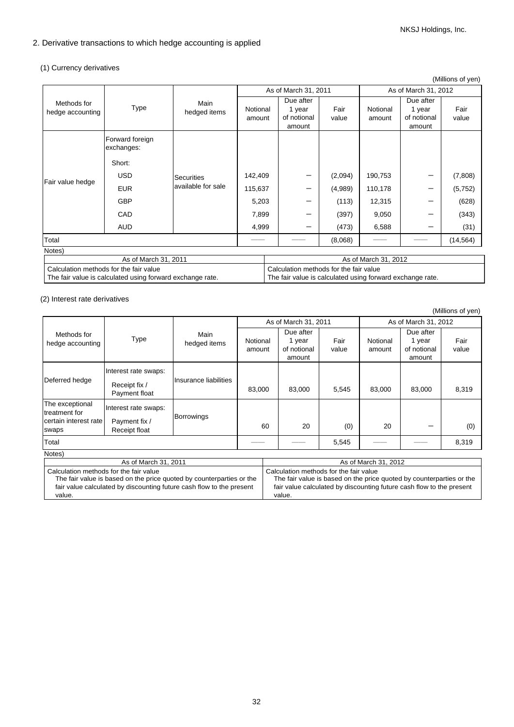# 2. Derivative transactions to which hedge accounting is applied

# (1) Currency derivatives

|                                                                                                     |                               |                                         |                                                                                                     |  |                                              |                      |                    |                                              | (Millions of yen) |
|-----------------------------------------------------------------------------------------------------|-------------------------------|-----------------------------------------|-----------------------------------------------------------------------------------------------------|--|----------------------------------------------|----------------------|--------------------|----------------------------------------------|-------------------|
|                                                                                                     |                               |                                         |                                                                                                     |  | As of March 31, 2011                         |                      |                    | As of March 31, 2012                         |                   |
| Methods for<br><b>Type</b><br>hedge accounting                                                      |                               | Main<br>hedged items                    | Notional<br>amount                                                                                  |  | Due after<br>1 year<br>of notional<br>amount | Fair<br>value        | Notional<br>amount | Due after<br>1 year<br>of notional<br>amount | Fair<br>value     |
|                                                                                                     | Forward foreign<br>exchanges: |                                         |                                                                                                     |  |                                              |                      |                    |                                              |                   |
|                                                                                                     | Short:                        |                                         |                                                                                                     |  |                                              |                      |                    |                                              |                   |
| Fair value hedge                                                                                    | <b>USD</b>                    | <b>Securities</b><br>available for sale | 142,409                                                                                             |  |                                              | (2,094)              | 190,753            |                                              | (7,808)           |
|                                                                                                     | <b>EUR</b>                    |                                         | 115,637                                                                                             |  |                                              | (4,989)              | 110,178            | –                                            | (5,752)           |
|                                                                                                     | <b>GBP</b>                    |                                         | 5,203                                                                                               |  |                                              | (113)                | 12,315             |                                              | (628)             |
|                                                                                                     | CAD                           |                                         | 7,899                                                                                               |  |                                              | (397)                | 9,050              |                                              | (343)             |
|                                                                                                     | <b>AUD</b>                    |                                         | 4,999                                                                                               |  |                                              | (473)                | 6,588              | —                                            | (31)              |
| Total                                                                                               |                               |                                         |                                                                                                     |  | (8,068)                                      |                      |                    | (14, 564)                                    |                   |
| Notes)                                                                                              |                               |                                         |                                                                                                     |  |                                              |                      |                    |                                              |                   |
| As of March 31, 2011                                                                                |                               |                                         |                                                                                                     |  |                                              | As of March 31, 2012 |                    |                                              |                   |
| Calculation methods for the fair value<br>The fair value is calculated using forward exchange rate. |                               |                                         | Calculation methods for the fair value<br>The fair value is calculated using forward exchange rate. |  |                                              |                      |                    |                                              |                   |

# (2) Interest rate derivatives

|                                                                    |                                                        |                       |                    |                                              |               |                        |                                              | (Millions of yen) |
|--------------------------------------------------------------------|--------------------------------------------------------|-----------------------|--------------------|----------------------------------------------|---------------|------------------------|----------------------------------------------|-------------------|
|                                                                    |                                                        |                       |                    | As of March 31, 2011                         |               |                        | As of March 31, 2012                         |                   |
| Methods for<br>hedge accounting                                    | <b>Type</b>                                            | Main<br>hedged items  | Notional<br>amount | Due after<br>1 year<br>of notional<br>amount | Fair<br>value | Notional<br>amount     | Due after<br>1 year<br>of notional<br>amount | Fair<br>value     |
| Deferred hedge                                                     | Interest rate swaps:<br>Receipt fix /<br>Payment float | Insurance liabilities | 83,000             | 83,000                                       | 5,545         | 83,000                 | 83,000                                       | 8,319             |
| The exceptional<br>treatment for<br>certain interest rate<br>swaps | Interest rate swaps:<br>Payment fix /<br>Receipt float | Borrowings            | 60                 | 20                                           | (0)           | 20                     |                                              | (0)               |
| Total                                                              |                                                        |                       |                    |                                              | 5,545         |                        |                                              | 8,319             |
| Notes)                                                             |                                                        |                       |                    |                                              |               |                        |                                              |                   |
|                                                                    | $Ae$ of March 31, 2011                                 |                       |                    |                                              |               | $Ae$ of March 21, 2012 |                                              |                   |

| As of March 31, 2011                                                 | As of March 31, 2012                                                 |
|----------------------------------------------------------------------|----------------------------------------------------------------------|
| Calculation methods for the fair value                               | Calculation methods for the fair value                               |
| The fair value is based on the price quoted by counterparties or the | The fair value is based on the price quoted by counterparties or the |
| fair value calculated by discounting future cash flow to the present | fair value calculated by discounting future cash flow to the present |
| value.                                                               | value.                                                               |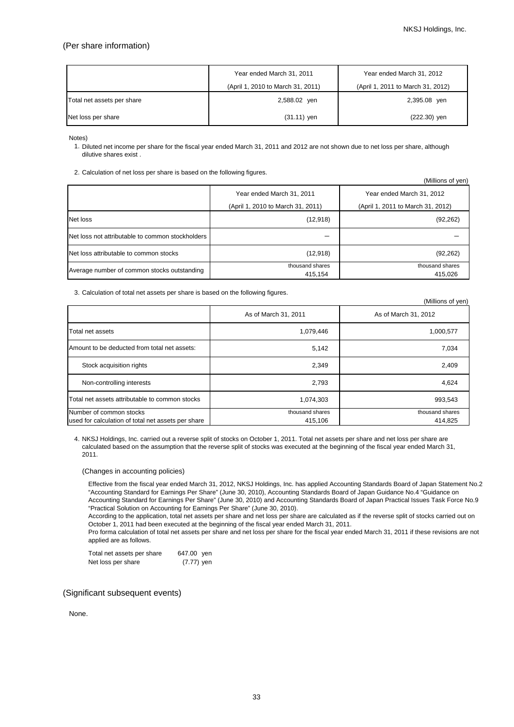(Millions of yen)

## (Per share information)

|                            | Year ended March 31, 2011         | Year ended March 31, 2012         |  |  |
|----------------------------|-----------------------------------|-----------------------------------|--|--|
|                            | (April 1, 2010 to March 31, 2011) | (April 1, 2011 to March 31, 2012) |  |  |
| Total net assets per share | 2,588.02 yen                      | 2,395.08 yen                      |  |  |
| Net loss per share         | $(31.11)$ yen                     | (222.30) yen                      |  |  |

Notes)

1. Diluted net income per share for the fiscal year ended March 31, 2011 and 2012 are not shown due to net loss per share, although dilutive shares exist .

2. Calculation of net loss per share is based on the following figures.

|                                                  |                                   | ווישן וט טווטוווווון              |  |  |
|--------------------------------------------------|-----------------------------------|-----------------------------------|--|--|
|                                                  | Year ended March 31, 2011         | Year ended March 31, 2012         |  |  |
|                                                  | (April 1, 2010 to March 31, 2011) | (April 1, 2011 to March 31, 2012) |  |  |
| Net loss                                         | (12, 918)                         | (92, 262)                         |  |  |
| Net loss not attributable to common stockholders |                                   |                                   |  |  |
| Net loss attributable to common stocks           | (12, 918)                         | (92, 262)                         |  |  |
| Average number of common stocks outstanding      | thousand shares<br>415,154        | thousand shares<br>415,026        |  |  |

3. Calculation of total net assets per share is based on the following figures.

|                                                                               |                            | (Millions of yen)          |
|-------------------------------------------------------------------------------|----------------------------|----------------------------|
|                                                                               | As of March 31, 2011       | As of March 31, 2012       |
| Total net assets                                                              | 1,079,446                  | 1,000,577                  |
| Amount to be deducted from total net assets:                                  | 5,142                      | 7,034                      |
| Stock acquisition rights                                                      | 2,349                      | 2,409                      |
| Non-controlling interests                                                     | 2,793                      | 4,624                      |
| Total net assets attributable to common stocks                                | 1,074,303                  | 993,543                    |
| Number of common stocks<br>used for calculation of total net assets per share | thousand shares<br>415,106 | thousand shares<br>414,825 |

4. NKSJ Holdings, Inc. carried out a reverse split of stocks on October 1, 2011. Total net assets per share and net loss per share are calculated based on the assumption that the reverse split of stocks was executed at the beginning of the fiscal year ended March 31, 2011.

(Changes in accounting policies)

Effective from the fiscal year ended March 31, 2012, NKSJ Holdings, Inc. has applied Accounting Standards Board of Japan Statement No.2 "Accounting Standard for Earnings Per Share" (June 30, 2010), Accounting Standards Board of Japan Guidance No.4 "Guidance on Accounting Standard for Earnings Per Share" (June 30, 2010) and Accounting Standards Board of Japan Practical Issues Task Force No.9 "Practical Solution on Accounting for Earnings Per Share" (June 30, 2010).

According to the application, total net assets per share and net loss per share are calculated as if the reverse split of stocks carried out on October 1, 2011 had been executed at the beginning of the fiscal year ended March 31, 2011.

Pro forma calculation of total net assets per share and net loss per share for the fiscal year ended March 31, 2011 if these revisions are not applied are as follows.

647.00 yen (7.77) yen Total net assets per share Net loss per share

## (Significant subsequent events)

None.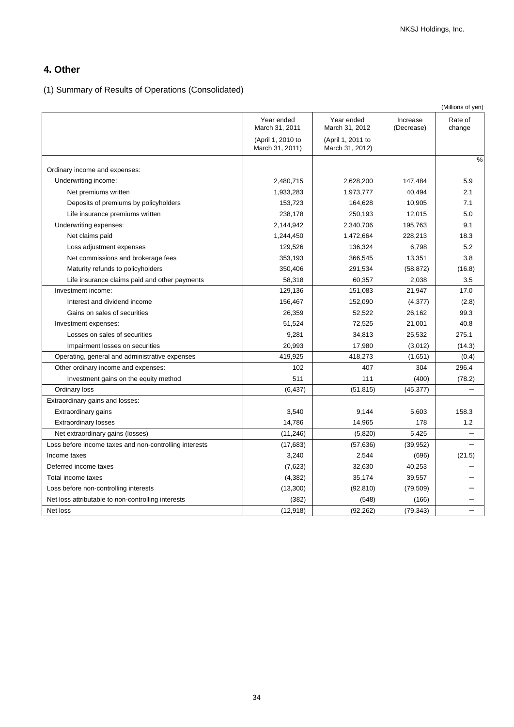# **4. Other**

(1) Summary of Results of Operations (Consolidated)

|                                                        |                                      |                                      |                        | (Millions of yen) |
|--------------------------------------------------------|--------------------------------------|--------------------------------------|------------------------|-------------------|
|                                                        | Year ended<br>March 31, 2011         | Year ended<br>March 31, 2012         | Increase<br>(Decrease) | Rate of<br>change |
|                                                        | (April 1, 2010 to<br>March 31, 2011) | (April 1, 2011 to<br>March 31, 2012) |                        |                   |
| Ordinary income and expenses:                          |                                      |                                      |                        | $\frac{0}{0}$     |
| Underwriting income:                                   | 2,480,715                            | 2,628,200                            | 147,484                | 5.9               |
| Net premiums written                                   | 1,933,283                            | 1,973,777                            | 40,494                 | 2.1               |
| Deposits of premiums by policyholders                  | 153,723                              | 164,628                              | 10,905                 | 7.1               |
| Life insurance premiums written                        | 238,178                              | 250,193                              | 12,015                 | 5.0               |
| Underwriting expenses:                                 | 2,144,942                            | 2,340,706                            | 195,763                | 9.1               |
| Net claims paid                                        | 1,244,450                            | 1,472,664                            | 228,213                | 18.3              |
| Loss adjustment expenses                               | 129,526                              | 136,324                              | 6,798                  | 5.2               |
| Net commissions and brokerage fees                     | 353,193                              | 366,545                              | 13,351                 | 3.8               |
| Maturity refunds to policyholders                      | 350,406                              | 291,534                              | (58, 872)              | (16.8)            |
| Life insurance claims paid and other payments          | 58,318                               | 60,357                               | 2,038                  | 3.5               |
| Investment income:                                     | 129,136                              | 151,083                              | 21,947                 | 17.0              |
| Interest and dividend income                           | 156,467                              | 152,090                              | (4,377)                | (2.8)             |
| Gains on sales of securities                           | 26,359                               | 52,522                               | 26,162                 | 99.3              |
| Investment expenses:                                   | 51,524                               | 72,525                               | 21,001                 | 40.8              |
| Losses on sales of securities                          | 9,281                                | 34,813                               | 25,532                 | 275.1             |
| Impairment losses on securities                        | 20,993                               | 17,980                               | (3,012)                | (14.3)            |
| Operating, general and administrative expenses         | 419,925                              | 418,273                              | (1,651)                | (0.4)             |
| Other ordinary income and expenses:                    | 102                                  | 407                                  | 304                    | 296.4             |
| Investment gains on the equity method                  | 511                                  | 111                                  | (400)                  | (78.2)            |
| Ordinary loss                                          | (6, 437)                             | (51, 815)                            | (45, 377)              |                   |
| Extraordinary gains and losses:                        |                                      |                                      |                        |                   |
| Extraordinary gains                                    | 3,540                                | 9,144                                | 5,603                  | 158.3             |
| <b>Extraordinary losses</b>                            | 14,786                               | 14,965                               | 178                    | 1.2               |
| Net extraordinary gains (losses)                       | (11, 246)                            | (5,820)                              | 5,425                  | $\equiv$          |
| Loss before income taxes and non-controlling interests | (17,683)                             | (57, 636)                            | (39, 952)              |                   |
| Income taxes                                           | 3,240                                | 2,544                                | (696)                  | (21.5)            |
| Deferred income taxes                                  | (7,623)                              | 32,630                               | 40,253                 |                   |
| Total income taxes                                     | (4, 382)                             | 35,174                               | 39,557                 |                   |
| Loss before non-controlling interests                  | (13,300)                             | (92, 810)                            | (79, 509)              |                   |
| Net loss attributable to non-controlling interests     | (382)                                | (548)                                | (166)                  |                   |
| Net loss                                               | (12, 918)                            | (92, 262)                            | (79, 343)              |                   |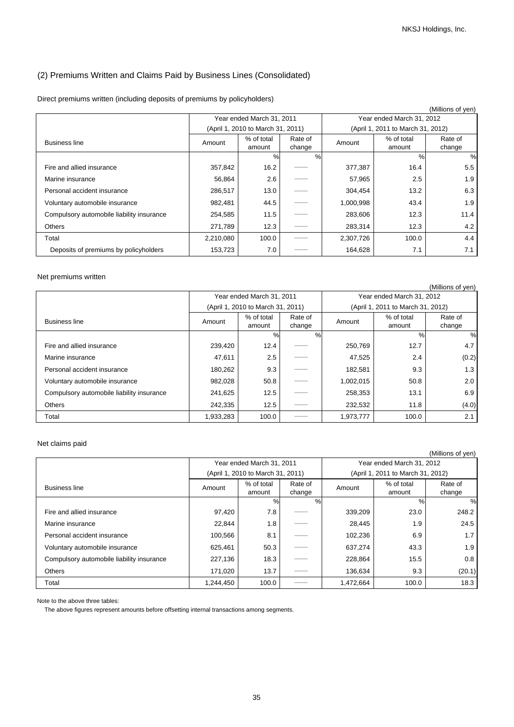# (2) Premiums Written and Claims Paid by Business Lines (Consolidated)

|  |  |  | Direct premiums written (including deposits of premiums by policyholders) |
|--|--|--|---------------------------------------------------------------------------|
|--|--|--|---------------------------------------------------------------------------|

|                                           |                           |                                   |                   |                           |                                   | (Millions of yen) |
|-------------------------------------------|---------------------------|-----------------------------------|-------------------|---------------------------|-----------------------------------|-------------------|
|                                           | Year ended March 31, 2011 |                                   |                   | Year ended March 31, 2012 |                                   |                   |
|                                           |                           | (April 1, 2010 to March 31, 2011) |                   |                           | (April 1, 2011 to March 31, 2012) |                   |
| <b>Business line</b>                      | Amount                    | % of total<br>amount              | Rate of<br>change | Amount                    | % of total<br>amount              | Rate of<br>change |
|                                           |                           | %                                 | %                 |                           | $\%$                              | %                 |
| Fire and allied insurance                 | 357,842                   | 16.2                              |                   | 377,387                   | 16.4                              | 5.5               |
| Marine insurance                          | 56,864                    | 2.6                               |                   | 57,965                    | 2.5                               | 1.9               |
| Personal accident insurance               | 286,517                   | 13.0                              |                   | 304,454                   | 13.2                              | 6.3               |
| Voluntary automobile insurance            | 982,481                   | 44.5                              |                   | 1,000,998                 | 43.4                              | 1.9               |
| Compulsory automobile liability insurance | 254,585                   | 11.5                              |                   | 283,606                   | 12.3                              | 11.4              |
| <b>Others</b>                             | 271,789                   | 12.3                              |                   | 283,314                   | 12.3                              | 4.2               |
| Total                                     | 2,210,080                 | 100.0                             |                   | 2,307,726                 | 100.0                             | 4.4               |
| Deposits of premiums by policyholders     | 153,723                   | 7.0                               |                   | 164,628                   | 7.1                               | 7.1               |

## Net premiums written

|                                           |           |                                   |         |           |                                   | (Millions of yen) |  |
|-------------------------------------------|-----------|-----------------------------------|---------|-----------|-----------------------------------|-------------------|--|
|                                           |           | Year ended March 31, 2011         |         |           | Year ended March 31, 2012         |                   |  |
|                                           |           | (April 1, 2010 to March 31, 2011) |         |           | (April 1, 2011 to March 31, 2012) |                   |  |
| <b>Business line</b>                      | Amount    | % of total                        | Rate of | Amount    | % of total                        | Rate of           |  |
|                                           |           | amount                            | change  |           | amount                            | change            |  |
|                                           |           | $\%$                              | %       |           | $\%$                              | %                 |  |
| Fire and allied insurance                 | 239,420   | 12.4                              |         | 250,769   | 12.7                              | 4.7               |  |
| Marine insurance                          | 47,611    | 2.5                               |         | 47,525    | 2.4                               | (0.2)             |  |
| Personal accident insurance               | 180,262   | 9.3                               |         | 182,581   | 9.3                               | 1.3               |  |
| Voluntary automobile insurance            | 982,028   | 50.8                              |         | 1,002,015 | 50.8                              | 2.0               |  |
| Compulsory automobile liability insurance | 241,625   | 12.5                              |         | 258,353   | 13.1                              | 6.9               |  |
| <b>Others</b>                             | 242,335   | 12.5                              |         | 232,532   | 11.8                              | (4.0)             |  |
| Total                                     | 1,933,283 | 100.0                             |         | 1,973,777 | 100.0                             | 2.1               |  |

## Net claims paid

|                                           |           |                                   |                   |                           |                                   | (Millions of yen) |
|-------------------------------------------|-----------|-----------------------------------|-------------------|---------------------------|-----------------------------------|-------------------|
|                                           |           | Year ended March 31, 2011         |                   | Year ended March 31, 2012 |                                   |                   |
|                                           |           | (April 1, 2010 to March 31, 2011) |                   |                           | (April 1, 2011 to March 31, 2012) |                   |
| <b>Business line</b>                      | Amount    | % of total<br>amount              | Rate of<br>change | Amount                    | % of total<br>amount              | Rate of<br>change |
|                                           |           | $\%$                              | $\frac{0}{0}$     |                           | $\%$                              | %                 |
| Fire and allied insurance                 | 97,420    | 7.8                               |                   | 339,209                   | 23.0                              | 248.2             |
| Marine insurance                          | 22,844    | 1.8                               |                   | 28,445                    | 1.9                               | 24.5              |
| Personal accident insurance               | 100,566   | 8.1                               |                   | 102,236                   | 6.9                               | 1.7               |
| Voluntary automobile insurance            | 625,461   | 50.3                              |                   | 637,274                   | 43.3                              | 1.9               |
| Compulsory automobile liability insurance | 227,136   | 18.3                              |                   | 228,864                   | 15.5                              | 0.8               |
| <b>Others</b>                             | 171,020   | 13.7                              |                   | 136,634                   | 9.3                               | (20.1)            |
| Total                                     | 1,244,450 | 100.0                             |                   | 1,472,664                 | 100.0                             | 18.3              |

Note to the above three tables:

The above figures represent amounts before offsetting internal transactions among segments.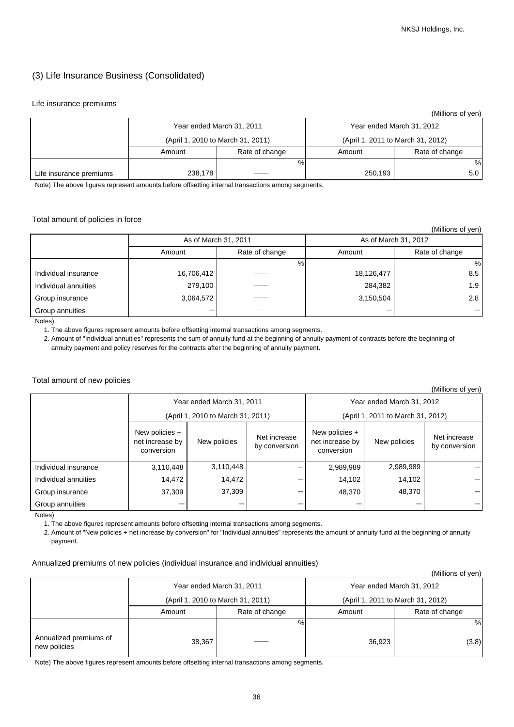# (3) Life Insurance Business (Consolidated)

#### Life insurance premiums

|                         |                                   |                |                                   | (Millions of yen)         |
|-------------------------|-----------------------------------|----------------|-----------------------------------|---------------------------|
|                         | Year ended March 31, 2011         |                |                                   | Year ended March 31, 2012 |
|                         | (April 1, 2010 to March 31, 2011) |                | (April 1, 2011 to March 31, 2012) |                           |
|                         | Amount                            | Rate of change | Amount                            | Rate of change            |
|                         |                                   | $\%$           |                                   | %                         |
| Life insurance premiums | 238,178                           |                | 250,193                           | 5.0                       |

Note) The above figures represent amounts before offsetting internal transactions among segments.

### Total amount of policies in force

|                             |                      |                |            | (Millions of yen)    |
|-----------------------------|----------------------|----------------|------------|----------------------|
|                             | As of March 31, 2011 |                |            | As of March 31, 2012 |
|                             | Amount               | Rate of change | Amount     | Rate of change       |
|                             |                      | %              |            | %                    |
| Individual insurance        | 16,706,412           |                | 18,126,477 | 8.5                  |
| Individual annuities        | 279,100              |                | 284,382    | 1.9                  |
| Group insurance             | 3,064,572            |                | 3,150,504  | 2.8                  |
| Group annuities<br>$\cdots$ |                      |                |            |                      |

Notes)

1. The above figures represent amounts before offsetting internal transactions among segments.

 2. Amount of "Individual annuities" represents the sum of annuity fund at the beginning of annuity payment of contracts before the beginning of annuity payment and policy reserves for the contracts after the beginning of annuity payment.

#### Total amount of new policies

|                           |                                                 |              |                               |                                                 |              | (Millions of yen)             |
|---------------------------|-------------------------------------------------|--------------|-------------------------------|-------------------------------------------------|--------------|-------------------------------|
| Year ended March 31, 2011 |                                                 |              |                               | Year ended March 31, 2012                       |              |                               |
|                           | (April 1, 2010 to March 31, 2011)               |              |                               | (April 1, 2011 to March 31, 2012)               |              |                               |
|                           | New policies +<br>net increase by<br>conversion | New policies | Net increase<br>by conversion | New policies +<br>net increase by<br>conversion | New policies | Net increase<br>by conversion |
| Individual insurance      | 3,110,448                                       | 3,110,448    |                               | 2,989,989                                       | 2,989,989    |                               |
| Individual annuities      | 14,472                                          | 14,472       |                               | 14,102                                          | 14,102       |                               |
| Group insurance           | 37,309                                          | 37,309       |                               | 48,370                                          | 48,370       |                               |
| Group annuities           |                                                 |              |                               |                                                 |              |                               |

Notes)

1. The above figures represent amounts before offsetting internal transactions among segments.

 2. Amount of "New policies + net increase by conversion" for "Individual annuities" represents the amount of annuity fund at the beginning of annuity payment.

### Annualized premiums of new policies (individual insurance and individual annuities)

|                                        |                                   |                           |        | (Millions of yen)                 |
|----------------------------------------|-----------------------------------|---------------------------|--------|-----------------------------------|
|                                        |                                   | Year ended March 31, 2011 |        | Year ended March 31, 2012         |
|                                        | (April 1, 2010 to March 31, 2011) |                           |        | (April 1, 2011 to March 31, 2012) |
|                                        | Amount                            | Rate of change            | Amount | Rate of change                    |
|                                        |                                   | %                         |        | %                                 |
| Annualized premiums of<br>new policies | 38,367                            |                           | 36,923 | (3.8)                             |

Note) The above figures represent amounts before offsetting internal transactions among segments.